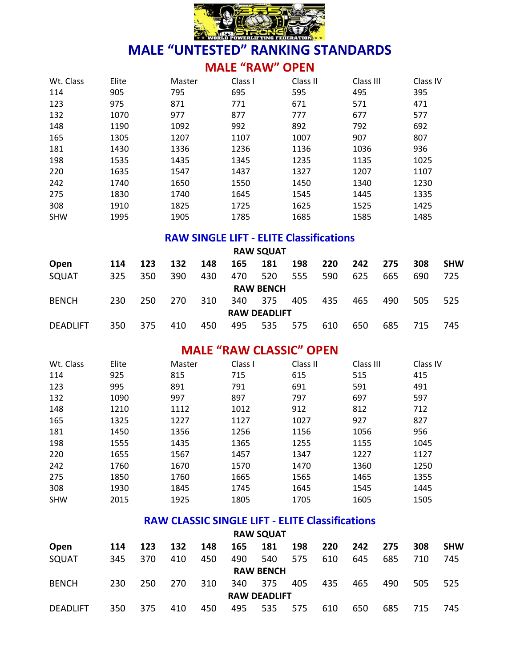

### **MALE "RAW" OPEN**

| Wt. Class  | Elite | Master | Class I | Class II | Class III | Class IV |
|------------|-------|--------|---------|----------|-----------|----------|
| 114        | 905   | 795    | 695     | 595      | 495       | 395      |
| 123        | 975   | 871    | 771     | 671      | 571       | 471      |
| 132        | 1070  | 977    | 877     | 777      | 677       | 577      |
| 148        | 1190  | 1092   | 992     | 892      | 792       | 692      |
| 165        | 1305  | 1207   | 1107    | 1007     | 907       | 807      |
| 181        | 1430  | 1336   | 1236    | 1136     | 1036      | 936      |
| 198        | 1535  | 1435   | 1345    | 1235     | 1135      | 1025     |
| 220        | 1635  | 1547   | 1437    | 1327     | 1207      | 1107     |
| 242        | 1740  | 1650   | 1550    | 1450     | 1340      | 1230     |
| 275        | 1830  | 1740   | 1645    | 1545     | 1445      | 1335     |
| 308        | 1910  | 1825   | 1725    | 1625     | 1525      | 1425     |
| <b>SHW</b> | 1995  | 1905   | 1785    | 1685     | 1585      | 1485     |

### **RAW SINGLE LIFT - ELITE Classifications**

|                 |     |     |     |     |     | <b>RAW SQUAT</b>    |     |     |     |     |     |            |
|-----------------|-----|-----|-----|-----|-----|---------------------|-----|-----|-----|-----|-----|------------|
| Open            | 114 | 123 | 132 | 148 | 165 | 181                 | 198 | 220 | 242 | 275 | 308 | <b>SHW</b> |
| SQUAT           | 325 | 350 | 390 | 430 | 470 | 520                 | 555 | 590 | 625 | 665 | 690 | 725        |
|                 |     |     |     |     |     | <b>RAW BENCH</b>    |     |     |     |     |     |            |
| <b>BENCH</b>    | 230 | 250 | 270 | 310 | 340 | 375                 | 405 | 435 | 465 | 490 | 505 | 525        |
|                 |     |     |     |     |     | <b>RAW DEADLIFT</b> |     |     |     |     |     |            |
| <b>DEADLIFT</b> | 350 | 375 | 410 | 450 | 495 | 535                 | 575 | 610 | 650 | 685 | 715 | 745        |

### **MALE "RAW CLASSIC" OPEN**

| Wt. Class  | Elite | Master | Class I | Class II | Class III | Class IV |
|------------|-------|--------|---------|----------|-----------|----------|
| 114        | 925   | 815    | 715     | 615      | 515       | 415      |
| 123        | 995   | 891    | 791     | 691      | 591       | 491      |
| 132        | 1090  | 997    | 897     | 797      | 697       | 597      |
| 148        | 1210  | 1112   | 1012    | 912      | 812       | 712      |
| 165        | 1325  | 1227   | 1127    | 1027     | 927       | 827      |
| 181        | 1450  | 1356   | 1256    | 1156     | 1056      | 956      |
| 198        | 1555  | 1435   | 1365    | 1255     | 1155      | 1045     |
| 220        | 1655  | 1567   | 1457    | 1347     | 1227      | 1127     |
| 242        | 1760  | 1670   | 1570    | 1470     | 1360      | 1250     |
| 275        | 1850  | 1760   | 1665    | 1565     | 1465      | 1355     |
| 308        | 1930  | 1845   | 1745    | 1645     | 1545      | 1445     |
| <b>SHW</b> | 2015  | 1925   | 1805    | 1705     | 1605      | 1505     |

### **RAW CLASSIC SINGLE LIFT - ELITE Classifications**

| <b>RAW SQUAT</b> |     |     |     |     |     |                     |     |     |     |     |     |            |
|------------------|-----|-----|-----|-----|-----|---------------------|-----|-----|-----|-----|-----|------------|
| <b>Open</b>      | 114 | 123 | 132 | 148 | 165 | 181                 | 198 | 220 | 242 | 275 | 308 | <b>SHW</b> |
| SQUAT            | 345 | 370 | 410 | 450 | 490 | 540                 | 575 | 610 | 645 | 685 | 710 | 745        |
|                  |     |     |     |     |     | <b>RAW BENCH</b>    |     |     |     |     |     |            |
| <b>BENCH</b>     | 230 | 250 | 270 | 310 | 340 | 375                 | 405 | 435 | 465 | 490 | 505 | 525        |
|                  |     |     |     |     |     | <b>RAW DEADLIFT</b> |     |     |     |     |     |            |
| <b>DEADLIFT</b>  | 350 | 375 | 410 | 450 | 495 | 535                 | 575 | 610 | 650 | 685 | 715 | 745        |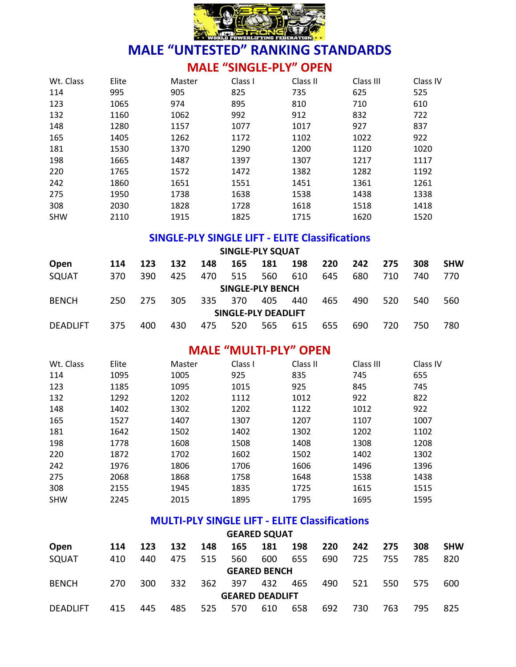

### **MALE "SINGLE-PLY" OPEN**

| Wt. Class  | Elite | Master | Class I | Class II | Class III | Class IV |
|------------|-------|--------|---------|----------|-----------|----------|
| 114        | 995   | 905    | 825     | 735      | 625       | 525      |
| 123        | 1065  | 974    | 895     | 810      | 710       | 610      |
| 132        | 1160  | 1062   | 992     | 912      | 832       | 722      |
| 148        | 1280  | 1157   | 1077    | 1017     | 927       | 837      |
| 165        | 1405  | 1262   | 1172    | 1102     | 1022      | 922      |
| 181        | 1530  | 1370   | 1290    | 1200     | 1120      | 1020     |
| 198        | 1665  | 1487   | 1397    | 1307     | 1217      | 1117     |
| 220        | 1765  | 1572   | 1472    | 1382     | 1282      | 1192     |
| 242        | 1860  | 1651   | 1551    | 1451     | 1361      | 1261     |
| 275        | 1950  | 1738   | 1638    | 1538     | 1438      | 1338     |
| 308        | 2030  | 1828   | 1728    | 1618     | 1518      | 1418     |
| <b>SHW</b> | 2110  | 1915   | 1825    | 1715     | 1620      | 1520     |

### **SINGLE-PLY SINGLE LIFT - ELITE Classifications**

|                 |     |     |     |     |     | <b>SINGLE-PLY SQUAT</b> |     |     |     |     |     |            |
|-----------------|-----|-----|-----|-----|-----|-------------------------|-----|-----|-----|-----|-----|------------|
| Open            | 114 | 123 | 132 | 148 | 165 | 181                     | 198 | 220 | 242 | 275 | 308 | <b>SHW</b> |
| SQUAT           | 370 | 390 | 425 | 470 | 515 | 560                     | 610 | 645 | 680 | 710 | 740 | 770        |
|                 |     |     |     |     |     | <b>SINGLE-PLY BENCH</b> |     |     |     |     |     |            |
| <b>BENCH</b>    | 250 | 275 | 305 | 335 | 370 | 405                     | 440 | 465 | 490 | 520 | 540 | 560        |
|                 |     |     |     |     |     | SINGLE-PLY DEADLIFT     |     |     |     |     |     |            |
| <b>DEADLIFT</b> | 375 | 400 | 430 | 475 | 520 | 565                     | 615 | 655 | 690 | 720 | 750 | 780        |

### **MALE "MULTI-PLY" OPEN**

| Wt. Class  | Elite | Master | Class I | Class II | Class III | Class IV |
|------------|-------|--------|---------|----------|-----------|----------|
| 114        | 1095  | 1005   | 925     | 835      | 745       | 655      |
| 123        | 1185  | 1095   | 1015    | 925      | 845       | 745      |
| 132        | 1292  | 1202   | 1112    | 1012     | 922       | 822      |
| 148        | 1402  | 1302   | 1202    | 1122     | 1012      | 922      |
| 165        | 1527  | 1407   | 1307    | 1207     | 1107      | 1007     |
| 181        | 1642  | 1502   | 1402    | 1302     | 1202      | 1102     |
| 198        | 1778  | 1608   | 1508    | 1408     | 1308      | 1208     |
| 220        | 1872  | 1702   | 1602    | 1502     | 1402      | 1302     |
| 242        | 1976  | 1806   | 1706    | 1606     | 1496      | 1396     |
| 275        | 2068  | 1868   | 1758    | 1648     | 1538      | 1438     |
| 308        | 2155  | 1945   | 1835    | 1725     | 1615      | 1515     |
| <b>SHW</b> | 2245  | 2015   | 1895    | 1795     | 1695      | 1595     |

### **MULTI-PLY SINGLE LIFT - ELITE Classifications**

|                 |     |     |     |     |                        | <b>GEARED SQUAT</b> |     |     |     |     |     |            |
|-----------------|-----|-----|-----|-----|------------------------|---------------------|-----|-----|-----|-----|-----|------------|
| Open            | 114 | 123 | 132 | 148 | 165                    | 181                 | 198 | 220 | 242 | 275 | 308 | <b>SHW</b> |
| SQUAT           | 410 | 440 | 475 | 515 | 560                    | 600                 | 655 | 690 | 725 | 755 | 785 | 820        |
|                 |     |     |     |     |                        | <b>GEARED BENCH</b> |     |     |     |     |     |            |
| <b>BENCH</b>    | 270 | 300 | 332 | 362 | 397                    | 432                 | 465 | 490 | 521 | 550 | 575 | 600        |
|                 |     |     |     |     | <b>GEARED DEADLIFT</b> |                     |     |     |     |     |     |            |
| <b>DEADLIFT</b> | 415 | 445 | 485 | 525 | 570                    | 610                 | 658 | 692 | 730 | 763 | 795 | 825        |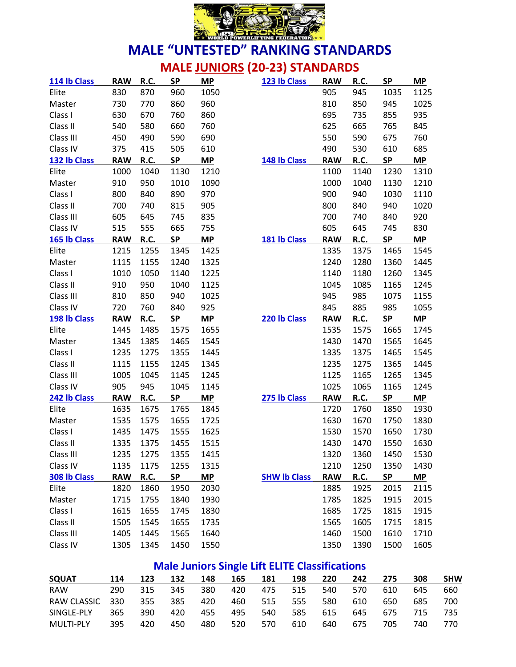

# **MALE JUNIORS (20-23) STANDARDS**

| 114 lb Class | <b>RAW</b> | R.C.        | <b>SP</b> | <b>MP</b> | 123 lb Class        | <b>RAW</b> | R.C.        | <b>SP</b> | MP        |
|--------------|------------|-------------|-----------|-----------|---------------------|------------|-------------|-----------|-----------|
| Elite        | 830        | 870         | 960       | 1050      |                     | 905        | 945         | 1035      | 1125      |
| Master       | 730        | 770         | 860       | 960       |                     | 810        | 850         | 945       | 1025      |
| Class I      | 630        | 670         | 760       | 860       |                     | 695        | 735         | 855       | 935       |
| Class II     | 540        | 580         | 660       | 760       |                     | 625        | 665         | 765       | 845       |
| Class III    | 450        | 490         | 590       | 690       |                     | 550        | 590         | 675       | 760       |
| Class IV     | 375        | 415         | 505       | 610       |                     | 490        | 530         | 610       | 685       |
| 132 lb Class | <b>RAW</b> | R.C.        | SP        | MP        | 148 lb Class        | <b>RAW</b> | R.C.        | <b>SP</b> | <b>MP</b> |
| Elite        | 1000       | 1040        | 1130      | 1210      |                     | 1100       | 1140        | 1230      | 1310      |
| Master       | 910        | 950         | 1010      | 1090      |                     | 1000       | 1040        | 1130      | 1210      |
| Class I      | 800        | 840         | 890       | 970       |                     | 900        | 940         | 1030      | 1110      |
| Class II     | 700        | 740         | 815       | 905       |                     | 800        | 840         | 940       | 1020      |
| Class III    | 605        | 645         | 745       | 835       |                     | 700        | 740         | 840       | 920       |
| Class IV     | 515        | 555         | 665       | 755       |                     | 605        | 645         | 745       | 830       |
| 165 lb Class | <b>RAW</b> | R.C.        | <b>SP</b> | <b>MP</b> | 181 lb Class        | <b>RAW</b> | R.C.        | <b>SP</b> | <b>MP</b> |
| Elite        | 1215       | 1255        | 1345      | 1425      |                     | 1335       | 1375        | 1465      | 1545      |
| Master       | 1115       | 1155        | 1240      | 1325      |                     | 1240       | 1280        | 1360      | 1445      |
| Class I      | 1010       | 1050        | 1140      | 1225      |                     | 1140       | 1180        | 1260      | 1345      |
| Class II     | 910        | 950         | 1040      | 1125      |                     | 1045       | 1085        | 1165      | 1245      |
| Class III    | 810        | 850         | 940       | 1025      |                     | 945        | 985         | 1075      | 1155      |
| Class IV     | 720        | 760         | 840       | 925       |                     | 845        | 885         | 985       | 1055      |
|              |            |             |           |           |                     |            |             |           |           |
| 198 lb Class | <b>RAW</b> | <b>R.C.</b> | <b>SP</b> | <b>MP</b> | 220 lb Class        | <b>RAW</b> | R.C.        | <b>SP</b> | MP        |
| Elite        | 1445       | 1485        | 1575      | 1655      |                     | 1535       | 1575        | 1665      | 1745      |
| Master       | 1345       | 1385        | 1465      | 1545      |                     | 1430       | 1470        | 1565      | 1645      |
| Class I      | 1235       | 1275        | 1355      | 1445      |                     | 1335       | 1375        | 1465      | 1545      |
| Class II     | 1115       | 1155        | 1245      | 1345      |                     | 1235       | 1275        | 1365      | 1445      |
| Class III    | 1005       | 1045        | 1145      | 1245      |                     | 1125       | 1165        | 1265      | 1345      |
| Class IV     | 905        | 945         | 1045      | 1145      |                     | 1025       | 1065        | 1165      | 1245      |
| 242 lb Class | <b>RAW</b> | R.C.        | <b>SP</b> | <b>MP</b> | 275 lb Class        | <b>RAW</b> | <b>R.C.</b> | <b>SP</b> | <b>MP</b> |
| Elite        | 1635       | 1675        | 1765      | 1845      |                     | 1720       | 1760        | 1850      | 1930      |
| Master       | 1535       | 1575        | 1655      | 1725      |                     | 1630       | 1670        | 1750      | 1830      |
| Class I      | 1435       | 1475        | 1555      | 1625      |                     | 1530       | 1570        | 1650      | 1730      |
| Class II     | 1335       | 1375        | 1455      | 1515      |                     | 1430       | 1470        | 1550      | 1630      |
| Class III    | 1235       | 1275        | 1355      | 1415      |                     | 1320       | 1360        | 1450      | 1530      |
| Class IV     | 1135       | 1175        | 1255      | 1315      |                     | 1210       | 1250        | 1350      | 1430      |
| 308 lb Class | <b>RAW</b> | R.C.        | <b>SP</b> | <b>MP</b> | <b>SHW Ib Class</b> | <b>RAW</b> | <b>R.C.</b> | <b>SP</b> | <b>MP</b> |
| Elite        | 1820       | 1860        | 1950      | 2030      |                     | 1885       | 1925        | 2015      | 2115      |
| Master       | 1715       | 1755        | 1840      | 1930      |                     | 1785       | 1825        | 1915      | 2015      |
| Class I      | 1615       | 1655        | 1745      | 1830      |                     | 1685       | 1725        | 1815      | 1915      |
| Class II     | 1505       | 1545        | 1655      | 1735      |                     | 1565       | 1605        | 1715      | 1815      |
| Class III    | 1405       | 1445        | 1565      | 1640      |                     | 1460       | 1500        | 1610      | 1710      |

## **Male Juniors Single Lift ELITE Classifications**

| <b>SQUAT</b>     | 114 | 123 | 132 | 148 | 165 | 181 | 198 | 220 | 242 | 275 | 308 | <b>SHW</b> |
|------------------|-----|-----|-----|-----|-----|-----|-----|-----|-----|-----|-----|------------|
| <b>RAW</b>       | 290 | 315 | 345 | 380 | 420 | 475 | 515 | 540 | 570 | 610 | 645 | 660        |
| RAW CLASSIC      | 330 | 355 | 385 | 420 | 460 | 515 | 555 | 580 | 610 | 650 | 685 | 700        |
| SINGLE-PLY       | 365 | 390 | 420 | 455 | 495 | 540 | 585 | 615 | 645 | 675 |     | 735.       |
| <b>MULTI-PLY</b> | 395 | 420 | 450 | 480 | 520 | 570 | 610 | 640 | 675 | 705 | 740 | 770.       |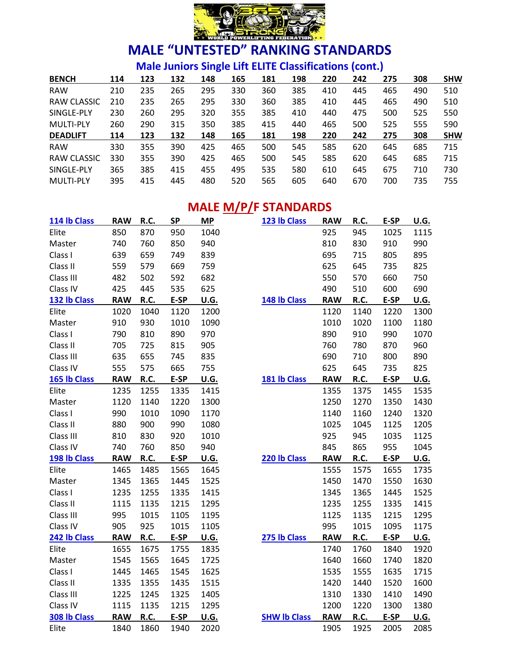

**Male Juniors Single Lift ELITE Classifications (cont.)**

| <b>BENCH</b>     | 114 | 123 | 132 | 148 | 165 | 181 | 198 | 220 | 242 | 275 | 308 | <b>SHW</b> |
|------------------|-----|-----|-----|-----|-----|-----|-----|-----|-----|-----|-----|------------|
| <b>RAW</b>       | 210 | 235 | 265 | 295 | 330 | 360 | 385 | 410 | 445 | 465 | 490 | 510        |
| RAW CLASSIC      | 210 | 235 | 265 | 295 | 330 | 360 | 385 | 410 | 445 | 465 | 490 | 510        |
| SINGLE-PLY       | 230 | 260 | 295 | 320 | 355 | 385 | 410 | 440 | 475 | 500 | 525 | 550        |
| <b>MULTI-PLY</b> | 260 | 290 | 315 | 350 | 385 | 415 | 440 | 465 | 500 | 525 | 555 | 590        |
| <b>DEADLIFT</b>  | 114 | 123 | 132 | 148 | 165 | 181 | 198 | 220 | 242 | 275 | 308 | <b>SHW</b> |
| <b>RAW</b>       | 330 | 355 | 390 | 425 | 465 | 500 | 545 | 585 | 620 | 645 | 685 | 715        |
| RAW CLASSIC      | 330 | 355 | 390 | 425 | 465 | 500 | 545 | 585 | 620 | 645 | 685 | 715        |
| SINGLE-PLY       | 365 | 385 | 415 | 455 | 495 | 535 | 580 | 610 | 645 | 675 | 710 | 730        |
| <b>MULTI-PLY</b> | 395 | 415 | 445 | 480 | 520 | 565 | 605 | 640 | 670 | 700 | 735 | 755        |

### **MALE M/P/F STANDARDS**

| 114 lb Class | <b>RAW</b> | R.C.        | <b>SP</b> | <b>MP</b>   | 123 lb Class        | <b>RAW</b> | <b>R.C.</b> | E-SP | U.G.        |
|--------------|------------|-------------|-----------|-------------|---------------------|------------|-------------|------|-------------|
| Elite        | 850        | 870         | 950       | 1040        |                     | 925        | 945         | 1025 | 1115        |
| Master       | 740        | 760         | 850       | 940         |                     | 810        | 830         | 910  | 990         |
| Class I      | 639        | 659         | 749       | 839         |                     | 695        | 715         | 805  | 895         |
| Class II     | 559        | 579         | 669       | 759         |                     | 625        | 645         | 735  | 825         |
| Class III    | 482        | 502         | 592       | 682         |                     | 550        | 570         | 660  | 750         |
| Class IV     | 425        | 445         | 535       | 625         |                     | 490        | 510         | 600  | 690         |
| 132 lb Class | <b>RAW</b> | R.C.        | E-SP      | <u>U.G.</u> | 148 lb Class        | <b>RAW</b> | <b>R.C.</b> | E-SP | <b>U.G.</b> |
| Elite        | 1020       | 1040        | 1120      | 1200        |                     | 1120       | 1140        | 1220 | 1300        |
| Master       | 910        | 930         | 1010      | 1090        |                     | 1010       | 1020        | 1100 | 1180        |
| Class I      | 790        | 810         | 890       | 970         |                     | 890        | 910         | 990  | 1070        |
| Class II     | 705        | 725         | 815       | 905         |                     | 760        | 780         | 870  | 960         |
| Class III    | 635        | 655         | 745       | 835         |                     | 690        | 710         | 800  | 890         |
| Class IV     | 555        | 575         | 665       | 755         |                     | 625        | 645         | 735  | 825         |
| 165 lb Class | <b>RAW</b> | <b>R.C.</b> | E-SP      | <u>U.G.</u> | 181 lb Class        | <b>RAW</b> | R.C.        | E-SP | <b>U.G.</b> |
| Elite        | 1235       | 1255        | 1335      | 1415        |                     | 1355       | 1375        | 1455 | 1535        |
| Master       | 1120       | 1140        | 1220      | 1300        |                     | 1250       | 1270        | 1350 | 1430        |
| Class I      | 990        | 1010        | 1090      | 1170        |                     | 1140       | 1160        | 1240 | 1320        |
| Class II     | 880        | 900         | 990       | 1080        |                     | 1025       | 1045        | 1125 | 1205        |
| Class III    | 810        | 830         | 920       | 1010        |                     | 925        | 945         | 1035 | 1125        |
| Class IV     | 740        | 760         | 850       | 940         |                     | 845        | 865         | 955  | 1045        |
| 198 lb Class | <b>RAW</b> | R.C.        | E-SP      | U.G.        | 220 lb Class        | <b>RAW</b> | R.C.        | E-SP | U.G.        |
| Elite        | 1465       | 1485        | 1565      | 1645        |                     | 1555       | 1575        | 1655 | 1735        |
| Master       | 1345       | 1365        | 1445      | 1525        |                     | 1450       | 1470        | 1550 | 1630        |
| Class I      | 1235       | 1255        | 1335      | 1415        |                     | 1345       | 1365        | 1445 | 1525        |
| Class II     | 1115       | 1135        | 1215      | 1295        |                     | 1235       | 1255        | 1335 | 1415        |
| Class III    | 995        | 1015        | 1105      | 1195        |                     | 1125       | 1135        | 1215 | 1295        |
| Class IV     | 905        | 925         | 1015      | 1105        |                     | 995        | 1015        | 1095 | 1175        |
| 242 lb Class | <b>RAW</b> | <b>R.C.</b> | E-SP      | <u>U.G.</u> | 275 lb Class        | <b>RAW</b> | <u>R.C.</u> | E-SP | <b>U.G.</b> |
| Elite        | 1655       | 1675        | 1755      | 1835        |                     | 1740       | 1760        | 1840 | 1920        |
| Master       | 1545       | 1565        | 1645      | 1725        |                     | 1640       | 1660        | 1740 | 1820        |
| Class I      | 1445       | 1465        | 1545      | 1625        |                     | 1535       | 1555        | 1635 | 1715        |
| Class II     | 1335       | 1355        | 1435      | 1515        |                     | 1420       | 1440        | 1520 | 1600        |
| Class III    | 1225       | 1245        | 1325      | 1405        |                     | 1310       | 1330        | 1410 | 1490        |
| Class IV     | 1115       | 1135        | 1215      | 1295        |                     | 1200       | 1220        | 1300 | 1380        |
| 308 lb Class | <b>RAW</b> | <u>R.C.</u> | E-SP      | U.G.        | <b>SHW Ib Class</b> | <b>RAW</b> | <u>R.C.</u> | E-SP | <b>U.G.</b> |
| Elite        | 1840       | 1860        | 1940      | 2020        |                     | 1905       | 1925        | 2005 | 2085        |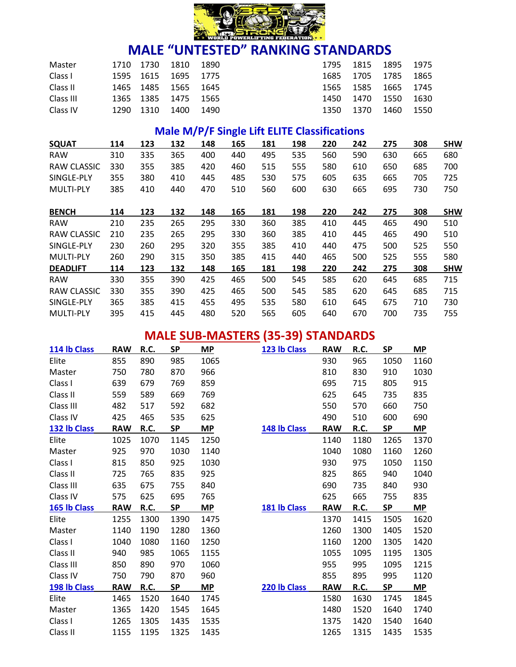

| Master    |           | 1710 1730 1810 1890 |      |      | 1795  |        | 1815 1895 1975      |        |
|-----------|-----------|---------------------|------|------|-------|--------|---------------------|--------|
| Class I   |           | 1595 1615 1695 1775 |      |      |       |        | 1685 1705 1785 1865 |        |
| Class II  |           | 1465 1485 1565 1645 |      |      |       |        | 1565 1585 1665 1745 |        |
| Class III |           | 1365 1385 1475 1565 |      |      | 1450. | 1470   | - 1550 -            | - 1630 |
| Class IV  | 1290 1310 |                     | 1400 | 1490 | 1350  | - 1370 | 1460                | - 1550 |

### **Male M/P/F Single Lift ELITE Classifications**

| <b>SQUAT</b>       | 114 | 123 | 132 | 148 | 165 | 181 | 198 | 220 | 242 | 275 | 308 | <b>SHW</b> |
|--------------------|-----|-----|-----|-----|-----|-----|-----|-----|-----|-----|-----|------------|
| <b>RAW</b>         | 310 | 335 | 365 | 400 | 440 | 495 | 535 | 560 | 590 | 630 | 665 | 680        |
| <b>RAW CLASSIC</b> | 330 | 355 | 385 | 420 | 460 | 515 | 555 | 580 | 610 | 650 | 685 | 700        |
| SINGLE-PLY         | 355 | 380 | 410 | 445 | 485 | 530 | 575 | 605 | 635 | 665 | 705 | 725        |
| <b>MULTI-PLY</b>   | 385 | 410 | 440 | 470 | 510 | 560 | 600 | 630 | 665 | 695 | 730 | 750        |
| <b>BENCH</b>       | 114 | 123 | 132 | 148 | 165 | 181 | 198 | 220 | 242 | 275 | 308 | <b>SHW</b> |
| <b>RAW</b>         | 210 | 235 | 265 | 295 | 330 | 360 | 385 | 410 | 445 | 465 | 490 | 510        |
| RAW CLASSIC        | 210 | 235 | 265 | 295 | 330 | 360 | 385 | 410 | 445 | 465 | 490 | 510        |
| SINGLE-PLY         | 230 | 260 | 295 | 320 | 355 | 385 | 410 | 440 | 475 | 500 | 525 | 550        |
| <b>MULTI-PLY</b>   | 260 | 290 | 315 | 350 | 385 | 415 | 440 | 465 | 500 | 525 | 555 | 580        |
| <b>DEADLIFT</b>    | 114 | 123 | 132 | 148 | 165 | 181 | 198 | 220 | 242 | 275 | 308 | <b>SHW</b> |
| <b>RAW</b>         | 330 | 355 | 390 | 425 | 465 | 500 | 545 | 585 | 620 | 645 | 685 | 715        |
| <b>RAW CLASSIC</b> | 330 | 355 | 390 | 425 | 465 | 500 | 545 | 585 | 620 | 645 | 685 | 715        |
| SINGLE-PLY         | 365 | 385 | 415 | 455 | 495 | 535 | 580 | 610 | 645 | 675 | 710 | 730        |
| <b>MULTI-PLY</b>   | 395 | 415 | 445 | 480 | 520 | 565 | 605 | 640 | 670 | 700 | 735 | 755        |

# **MALE SUB-MASTERS (35-39) STANDARDS**

| 114 lb Class | <b>RAW</b> | R.C. | <b>SP</b> | <b>MP</b> | 123 lb Class | <b>RAW</b> | R.C. | <b>SP</b> | <b>MP</b> |
|--------------|------------|------|-----------|-----------|--------------|------------|------|-----------|-----------|
| Elite        | 855        | 890  | 985       | 1065      |              | 930        | 965  | 1050      | 1160      |
| Master       | 750        | 780  | 870       | 966       |              | 810        | 830  | 910       | 1030      |
| Class I      | 639        | 679  | 769       | 859       |              | 695        | 715  | 805       | 915       |
| Class II     | 559        | 589  | 669       | 769       |              | 625        | 645  | 735       | 835       |
| Class III    | 482        | 517  | 592       | 682       |              | 550        | 570  | 660       | 750       |
| Class IV     | 425        | 465  | 535       | 625       |              | 490        | 510  | 600       | 690       |
| 132 lb Class | <b>RAW</b> | R.C. | <b>SP</b> | <b>MP</b> | 148 lb Class | <b>RAW</b> | R.C. | <b>SP</b> | <b>MP</b> |
| Elite        | 1025       | 1070 | 1145      | 1250      |              | 1140       | 1180 | 1265      | 1370      |
| Master       | 925        | 970  | 1030      | 1140      |              | 1040       | 1080 | 1160      | 1260      |
| Class I      | 815        | 850  | 925       | 1030      |              | 930        | 975  | 1050      | 1150      |
| Class II     | 725        | 765  | 835       | 925       |              | 825        | 865  | 940       | 1040      |
| Class III    | 635        | 675  | 755       | 840       |              | 690        | 735  | 840       | 930       |
| Class IV     | 575        | 625  | 695       | 765       |              | 625        | 665  | 755       | 835       |
| 165 lb Class | <b>RAW</b> | R.C. | <b>SP</b> | MP        | 181 lb Class | <b>RAW</b> | R.C. | <b>SP</b> | <b>MP</b> |
| Elite        | 1255       | 1300 | 1390      | 1475      |              | 1370       | 1415 | 1505      | 1620      |
| Master       | 1140       | 1190 | 1280      | 1360      |              | 1260       | 1300 | 1405      | 1520      |
| Class I      | 1040       | 1080 | 1160      | 1250      |              | 1160       | 1200 | 1305      | 1420      |
| Class II     | 940        | 985  | 1065      | 1155      |              | 1055       | 1095 | 1195      | 1305      |
| Class III    | 850        | 890  | 970       | 1060      |              | 955        | 995  | 1095      | 1215      |
| Class IV     | 750        | 790  | 870       | 960       |              | 855        | 895  | 995       | 1120      |
| 198 lb Class | <b>RAW</b> | R.C. | <b>SP</b> | MP        | 220 lb Class | <b>RAW</b> | R.C. | <b>SP</b> | <b>MP</b> |
| Elite        | 1465       | 1520 | 1640      | 1745      |              | 1580       | 1630 | 1745      | 1845      |
| Master       | 1365       | 1420 | 1545      | 1645      |              | 1480       | 1520 | 1640      | 1740      |
| Class I      | 1265       | 1305 | 1435      | 1535      |              | 1375       | 1420 | 1540      | 1640      |
| Class II     | 1155       | 1195 | 1325      | 1435      |              | 1265       | 1315 | 1435      | 1535      |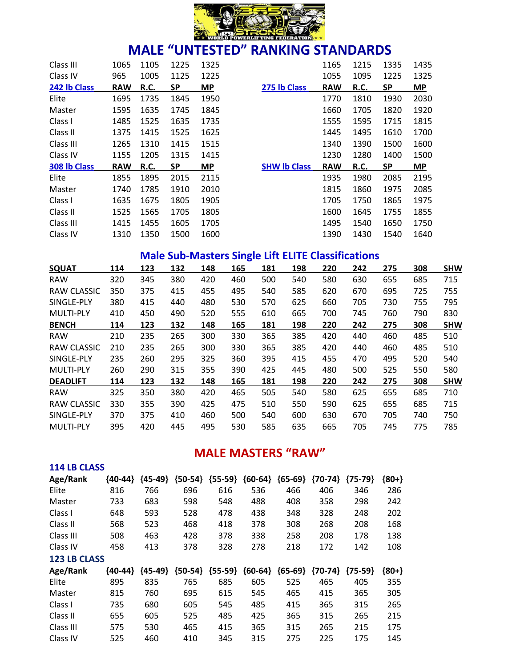

| Class III    | 1065       | 1105        | 1225      | 1325      |                     | 1165       | 1215        | 1335      | 1435      |
|--------------|------------|-------------|-----------|-----------|---------------------|------------|-------------|-----------|-----------|
| Class IV     | 965        | 1005        | 1125      | 1225      |                     | 1055       | 1095        | 1225      | 1325      |
| 242 lb Class | <b>RAW</b> | <b>R.C.</b> | <b>SP</b> | <b>MP</b> | 275 lb Class        | <b>RAW</b> | <b>R.C.</b> | <b>SP</b> | <b>MP</b> |
| Elite        | 1695       | 1735        | 1845      | 1950      |                     | 1770       | 1810        | 1930      | 2030      |
| Master       | 1595       | 1635        | 1745      | 1845      |                     | 1660       | 1705        | 1820      | 1920      |
| Class I      | 1485       | 1525        | 1635      | 1735      |                     | 1555       | 1595        | 1715      | 1815      |
| Class II     | 1375       | 1415        | 1525      | 1625      |                     | 1445       | 1495        | 1610      | 1700      |
| Class III    | 1265       | 1310        | 1415      | 1515      |                     | 1340       | 1390        | 1500      | 1600      |
| Class IV     | 1155       | 1205        | 1315      | 1415      |                     | 1230       | 1280        | 1400      | 1500      |
| 308 lb Class | <b>RAW</b> | R.C.        | SP        | <b>MP</b> | <b>SHW Ib Class</b> | <b>RAW</b> | <b>R.C.</b> | <b>SP</b> | <b>MP</b> |
| Elite        | 1855       | 1895        | 2015      | 2115      |                     | 1935       | 1980        | 2085      | 2195      |
| Master       | 1740       | 1785        | 1910      | 2010      |                     | 1815       | 1860        | 1975      | 2085      |
| Class I      | 1635       | 1675        | 1805      | 1905      |                     | 1705       | 1750        | 1865      | 1975      |
| Class II     | 1525       | 1565        | 1705      | 1805      |                     | 1600       | 1645        | 1755      | 1855      |
| Class III    | 1415       | 1455        | 1605      | 1705      |                     | 1495       | 1540        | 1650      | 1750      |
| Class IV     | 1310       | 1350        | 1500      | 1600      |                     | 1390       | 1430        | 1540      | 1640      |

### **Male Sub-Masters Single Lift ELITE Classifications**

| <b>SQUAT</b>       | 114 | 123 | 132 | 148 | 165 | 181 | 198 | 220 | 242 | 275 | 308 | <b>SHW</b> |
|--------------------|-----|-----|-----|-----|-----|-----|-----|-----|-----|-----|-----|------------|
| <b>RAW</b>         | 320 | 345 | 380 | 420 | 460 | 500 | 540 | 580 | 630 | 655 | 685 | 715        |
| RAW CLASSIC        | 350 | 375 | 415 | 455 | 495 | 540 | 585 | 620 | 670 | 695 | 725 | 755        |
| SINGLE-PLY         | 380 | 415 | 440 | 480 | 530 | 570 | 625 | 660 | 705 | 730 | 755 | 795        |
| <b>MULTI-PLY</b>   | 410 | 450 | 490 | 520 | 555 | 610 | 665 | 700 | 745 | 760 | 790 | 830        |
| <b>BENCH</b>       | 114 | 123 | 132 | 148 | 165 | 181 | 198 | 220 | 242 | 275 | 308 | <b>SHW</b> |
| <b>RAW</b>         | 210 | 235 | 265 | 300 | 330 | 365 | 385 | 420 | 440 | 460 | 485 | 510        |
| <b>RAW CLASSIC</b> | 210 | 235 | 265 | 300 | 330 | 365 | 385 | 420 | 440 | 460 | 485 | 510        |
| SINGLE-PLY         | 235 | 260 | 295 | 325 | 360 | 395 | 415 | 455 | 470 | 495 | 520 | 540        |
| <b>MULTI-PLY</b>   | 260 | 290 | 315 | 355 | 390 | 425 | 445 | 480 | 500 | 525 | 550 | 580        |
| <b>DEADLIFT</b>    | 114 | 123 | 132 | 148 | 165 | 181 | 198 | 220 | 242 | 275 | 308 | <b>SHW</b> |
| <b>RAW</b>         | 325 | 350 | 380 | 420 | 465 | 505 | 540 | 580 | 625 | 655 | 685 | 710        |
| RAW CLASSIC        | 330 | 355 | 390 | 425 | 475 | 510 | 550 | 590 | 625 | 655 | 685 | 715        |
| SINGLE-PLY         | 370 | 375 | 410 | 460 | 500 | 540 | 600 | 630 | 670 | 705 | 740 | 750        |
| <b>MULTI-PLY</b>   | 395 | 420 | 445 | 495 | 530 | 585 | 635 | 665 | 705 | 745 | 775 | 785        |

### **MALE MASTERS "RAW"**

| Age/Rank            | {40-44}   | {45-49}   | ${50-54}$ | ${55-59}$ | ${60-64}$ | ${65-69}$ | ${70-74}$ | ${75-79}$ | ${80+}$ |
|---------------------|-----------|-----------|-----------|-----------|-----------|-----------|-----------|-----------|---------|
| Elite               | 816       | 766       | 696       | 616       | 536       | 466       | 406       | 346       | 286     |
| Master              | 733       | 683       | 598       | 548       | 488       | 408       | 358       | 298       | 242     |
| Class I             | 648       | 593       | 528       | 478       | 438       | 348       | 328       | 248       | 202     |
| Class II            | 568       | 523       | 468       | 418       | 378       | 308       | 268       | 208       | 168     |
| Class III           | 508       | 463       | 428       | 378       | 338       | 258       | 208       | 178       | 138     |
| Class IV            | 458       | 413       | 378       | 328       | 278       | 218       | 172       | 142       | 108     |
| <b>123 LB CLASS</b> |           |           |           |           |           |           |           |           |         |
| Age/Rank            | ${40-44}$ | ${45-49}$ | ${50-54}$ | ${55-59}$ | ${60-64}$ | ${65-69}$ | ${70-74}$ | ${75-59}$ | ${80+}$ |
| Elite               | 895       | 835       | 765       | 685       | 605       | 525       | 465       | 405       | 355     |
| Master              | 815       | 760       | 695       | 615       | 545       | 465       | 415       | 365       | 305     |
| Class I             | 735       | 680       | 605       | 545       | 485       | 415       | 365       | 315       | 265     |
| Class II            | 655       | 605       | 525       | 485       | 425       | 365       | 315       | 265       | 215     |
| Class III           | 575       | 530       | 465       | 415       | 365       | 315       | 265       | 215       | 175     |
| Class IV            | 525       | 460       | 410       | 345       | 315       | 275       | 225       | 175       | 145     |

**114 LB CLASS**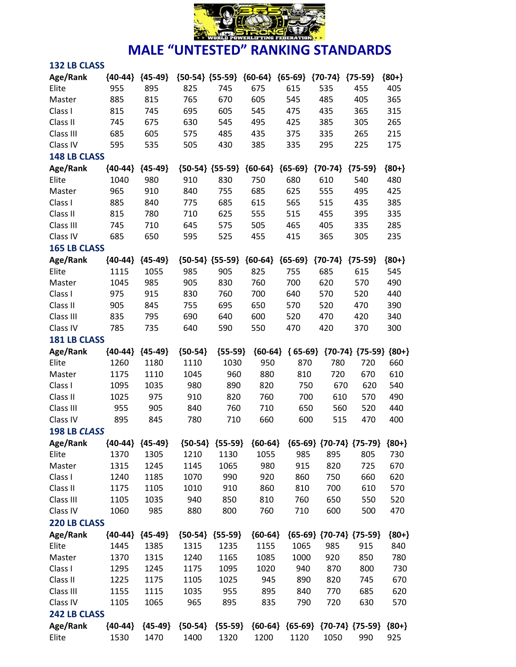

| <b>132 LB CLASS</b> |           |                     |                     |                     |           |           |                                                 |                             |         |
|---------------------|-----------|---------------------|---------------------|---------------------|-----------|-----------|-------------------------------------------------|-----------------------------|---------|
| Age/Rank            | ${40-44}$ | ${45-49}$           | ${50-54}$ ${55-59}$ |                     | ${60-64}$ | ${65-69}$ | ${70-74}$                                       | ${75-59}$                   | ${80+}$ |
| Elite               | 955       | 895                 | 825                 | 745                 | 675       | 615       | 535                                             | 455                         | 405     |
| Master              | 885       | 815                 | 765                 | 670                 | 605       | 545       | 485                                             | 405                         | 365     |
| Class I             | 815       | 745                 | 695                 | 605                 | 545       | 475       | 435                                             | 365                         | 315     |
| Class II            | 745       | 675                 | 630                 | 545                 | 495       | 425       | 385                                             | 305                         | 265     |
| Class III           | 685       | 605                 | 575                 | 485                 | 435       | 375       | 335                                             | 265                         | 215     |
| Class IV            | 595       | 535                 | 505                 | 430                 | 385       | 335       | 295                                             | 225                         | 175     |
| <b>148 LB CLASS</b> |           |                     |                     |                     |           |           |                                                 |                             |         |
| Age/Rank            | ${40-44}$ | ${45-49}$           |                     | ${50-54} {55-59}$   | ${60-64}$ | ${65-69}$ | ${70-74}$                                       | ${75-59}$                   | ${80+}$ |
| Elite               | 1040      | 980                 | 910                 | 830                 | 750       | 680       | 610                                             | 540                         | 480     |
| Master              | 965       | 910                 | 840                 | 755                 | 685       | 625       | 555                                             | 495                         | 425     |
| Class I             | 885       | 840                 | 775                 | 685                 | 615       | 565       | 515                                             | 435                         | 385     |
| Class II            | 815       | 780                 | 710                 | 625                 | 555       | 515       | 455                                             | 395                         | 335     |
| Class III           | 745       | 710                 | 645                 | 575                 | 505       | 465       | 405                                             | 335                         | 285     |
| Class IV            | 685       | 650                 | 595                 | 525                 | 455       | 415       | 365                                             | 305                         | 235     |
| <b>165 LB CLASS</b> |           |                     |                     |                     |           |           |                                                 |                             |         |
| Age/Rank            | ${40-44}$ | ${45-49}$           |                     | ${50-54}$ ${55-59}$ | ${60-64}$ | ${65-69}$ | ${70-74}$                                       | ${75-59}$                   | ${80+}$ |
| Elite               | 1115      | 1055                | 985                 | 905                 | 825       | 755       | 685                                             | 615                         | 545     |
| Master              | 1045      | 985                 | 905                 | 830                 | 760       | 700       | 620                                             | 570                         | 490     |
| Class I             | 975       | 915                 | 830                 | 760                 | 700       | 640       | 570                                             | 520                         | 440     |
| Class II            | 905       | 845                 | 755                 | 695                 | 650       | 570       | 520                                             | 470                         | 390     |
| Class III           | 835       | 795                 | 690                 | 640                 | 600       | 520       | 470                                             | 420                         | 340     |
| Class IV            | 785       | 735                 | 640                 | 590                 | 550       | 470       | 420                                             | 370                         | 300     |
| <b>181 LB CLASS</b> |           |                     |                     |                     |           |           |                                                 |                             |         |
| Age/Rank            | ${40-44}$ | ${45-49}$           | ${50-54}$           | ${55-59}$           | ${60-64}$ | ${65-69}$ |                                                 | ${70-74}$ ${75-59}$ ${80+}$ |         |
| Elite               | 1260      | 1180                | 1110                | 1030                | 950       | 870       | 780                                             | 720                         | 660     |
| Master              | 1175      | 1110                | 1045                | 960                 | 880       | 810       | 720                                             | 670                         | 610     |
| Class I             | 1095      | 1035                | 980                 | 890                 | 820       | 750       | 670                                             | 620                         | 540     |
| Class II            | 1025      | 975                 | 910                 | 820                 | 760       | 700       | 610                                             | 570                         | 490     |
| Class III           | 955       | 905                 | 840                 | 760                 | 710       | 650       | 560                                             | 520                         | 440     |
| Class IV            | 895       | 845                 | 780                 | 710                 | 660       | 600       | 515                                             | 470                         | 400     |
| <b>198 LB CLASS</b> |           |                     |                     |                     |           |           |                                                 |                             |         |
| Age/Rank            |           | ${40-44}$ ${45-49}$ |                     | ${50-54}$ ${55-59}$ | ${60-64}$ |           | ${65-69}$ ${70-74}$ ${75-79}$ ${80+}$           |                             |         |
| Elite               | 1370      | 1305                | 1210                | 1130                | 1055      | 985       | 895                                             | 805                         | 730     |
| Master              | 1315      | 1245                | 1145                | 1065                | 980       | 915       | 820                                             | 725                         | 670     |
| Class I             | 1240      | 1185                | 1070                | 990                 | 920       | 860       | 750                                             | 660                         | 620     |
| Class II            | 1175      | 1105                | 1010                | 910                 | 860       | 810       | 700                                             | 610                         | 570     |
| Class III           | 1105      | 1035                | 940                 | 850                 | 810       | 760       | 650                                             | 550                         | 520     |
| Class IV            | 1060      | 985                 | 880                 | 800                 | 760       | 710       | 600                                             | 500                         | 470     |
| 220 LB CLASS        |           |                     |                     |                     |           |           |                                                 |                             |         |
| Age/Rank            |           | ${40-44}$ ${45-49}$ |                     | ${50-54}$ ${55-59}$ | ${60-64}$ |           | ${65-69}$ ${70-74}$ ${75-59}$                   |                             | ${80+}$ |
| Elite               | 1445      | 1385                | 1315                | 1235                | 1155      | 1065      | 985                                             | 915                         | 840     |
| Master              | 1370      | 1315                | 1240                | 1165                | 1085      | 1000      | 920                                             | 850                         | 780     |
| Class I             | 1295      | 1245                | 1175                | 1095                | 1020      | 940       | 870                                             | 800                         | 730     |
| Class II            | 1225      | 1175                | 1105                | 1025                | 945       | 890       | 820                                             | 745                         | 670     |
| Class III           | 1155      | 1115                | 1035                | 955                 | 895       | 840       | 770                                             | 685                         | 620     |
| Class IV            | 1105      | 1065                | 965                 | 895                 | 835       | 790       | 720                                             | 630                         | 570     |
| <b>242 LB CLASS</b> |           |                     |                     |                     |           |           |                                                 |                             |         |
|                     |           |                     |                     |                     |           |           |                                                 |                             |         |
| Age/Rank            | ${40-44}$ | ${45-49}$           | ${50-54}$           | ${55-59}$           |           |           | ${60-64}$ ${65-69}$ ${70-74}$ ${75-59}$ ${80+}$ |                             |         |
| Elite               | 1530      | 1470                | 1400                | 1320                | 1200      | 1120      | 1050                                            | 990                         | 925     |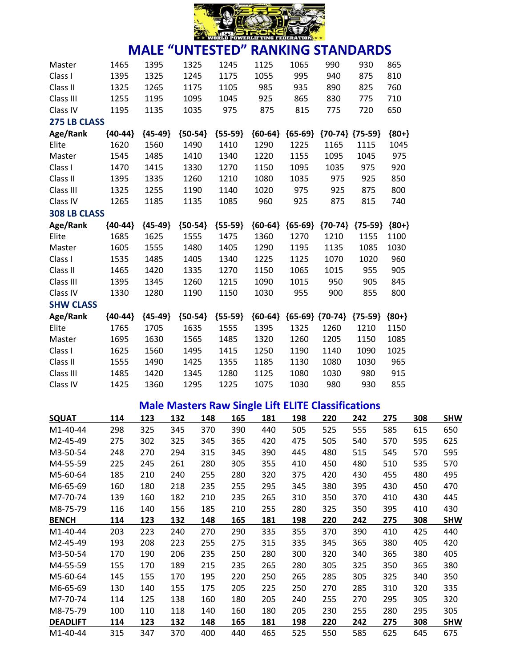

#### **MALE "UNTESTED" RANKING STANDARDS** Master 1465 1395 1325 1245 1125 1065 990 930 865 Class I 1395 1325 1245 1175 1055 995 940 875 810 Class II 1325 1265 1175 1105 985 935 890 825 760 Class III 1255 1195 1095 1045 925 865 830 775 710 Class IV 1195 1135 1035 975 875 815 775 720 650 **275 LB CLASS Age/Rank {40-44} {45-49} {50-54} {55-59} {60-64} {65-69} {70-74} {75-59} {80+}** Elite 1620 1560 1490 1410 1290 1225 1165 1115 1045 Master 1545 1485 1410 1340 1220 1155 1095 1045 975 Class I 1470 1415 1330 1270 1150 1095 1035 975 920 Class II 1395 1335 1260 1210 1080 1035 975 925 850 Class III 1325 1255 1190 1140 1020 975 925 875 800 Class IV 1265 1185 1135 1085 960 925 875 815 740 **308 LB CLASS Age/Rank {40-44} {45-49} {50-54} {55-59} {60-64} {65-69} {70-74} {75-59} {80+}** Elite 1685 1625 1555 1475 1360 1270 1210 1155 1100 Master 1605 1555 1480 1405 1290 1195 1135 1085 1030 Class I 1535 1485 1405 1340 1225 1125 1070 1020 960 Class II 1465 1420 1335 1270 1150 1065 1015 955 905 Class III 1395 1345 1260 1215 1090 1015 950 905 845 Class IV 1330 1280 1190 1150 1030 955 900 855 800 **SHW CLASS Age/Rank {40-44} {45-49} {50-54} {55-59} {60-64} {65-69} {70-74} {75-59} {80+}** Elite 1765 1705 1635 1555 1395 1325 1260 1210 1150 Master 1695 1630 1565 1485 1320 1260 1205 1150 1085 Class I 1625 1560 1495 1415 1250 1190 1140 1090 1025 Class II 1555 1490 1425 1355 1185 1130 1080 1030 965 Class III 1485 1420 1345 1280 1125 1080 1030 980 915 Class IV 1425 1360 1295 1225 1075 1030 980 930 855

#### **Male Masters Raw Single Lift ELITE Classifications**

|                       |     |     |     |     | c   |     |     |     |     |     |     |            |
|-----------------------|-----|-----|-----|-----|-----|-----|-----|-----|-----|-----|-----|------------|
| <b>SQUAT</b>          | 114 | 123 | 132 | 148 | 165 | 181 | 198 | 220 | 242 | 275 | 308 | <b>SHW</b> |
| M <sub>1</sub> -40-44 | 298 | 325 | 345 | 370 | 390 | 440 | 505 | 525 | 555 | 585 | 615 | 650        |
| M2-45-49              | 275 | 302 | 325 | 345 | 365 | 420 | 475 | 505 | 540 | 570 | 595 | 625        |
| M3-50-54              | 248 | 270 | 294 | 315 | 345 | 390 | 445 | 480 | 515 | 545 | 570 | 595        |
| M4-55-59              | 225 | 245 | 261 | 280 | 305 | 355 | 410 | 450 | 480 | 510 | 535 | 570        |
| M5-60-64              | 185 | 210 | 240 | 255 | 280 | 320 | 375 | 420 | 430 | 455 | 480 | 495        |
| M6-65-69              | 160 | 180 | 218 | 235 | 255 | 295 | 345 | 380 | 395 | 430 | 450 | 470        |
| M7-70-74              | 139 | 160 | 182 | 210 | 235 | 265 | 310 | 350 | 370 | 410 | 430 | 445        |
| M8-75-79              | 116 | 140 | 156 | 185 | 210 | 255 | 280 | 325 | 350 | 395 | 410 | 430        |
| <b>BENCH</b>          | 114 | 123 | 132 | 148 | 165 | 181 | 198 | 220 | 242 | 275 | 308 | <b>SHW</b> |
| M1-40-44              | 203 | 223 | 240 | 270 | 290 | 335 | 355 | 370 | 390 | 410 | 425 | 440        |
| M2-45-49              | 193 | 208 | 223 | 255 | 275 | 315 | 335 | 345 | 365 | 380 | 405 | 420        |
| M3-50-54              | 170 | 190 | 206 | 235 | 250 | 280 | 300 | 320 | 340 | 365 | 380 | 405        |
| M4-55-59              | 155 | 170 | 189 | 215 | 235 | 265 | 280 | 305 | 325 | 350 | 365 | 380        |
| M5-60-64              | 145 | 155 | 170 | 195 | 220 | 250 | 265 | 285 | 305 | 325 | 340 | 350        |
| M6-65-69              | 130 | 140 | 155 | 175 | 205 | 225 | 250 | 270 | 285 | 310 | 320 | 335        |
| M7-70-74              | 114 | 125 | 138 | 160 | 180 | 205 | 240 | 255 | 270 | 295 | 305 | 320        |
| M8-75-79              | 100 | 110 | 118 | 140 | 160 | 180 | 205 | 230 | 255 | 280 | 295 | 305        |
| <b>DEADLIFT</b>       | 114 | 123 | 132 | 148 | 165 | 181 | 198 | 220 | 242 | 275 | 308 | <b>SHW</b> |
| M1-40-44              | 315 | 347 | 370 | 400 | 440 | 465 | 525 | 550 | 585 | 625 | 645 | 675        |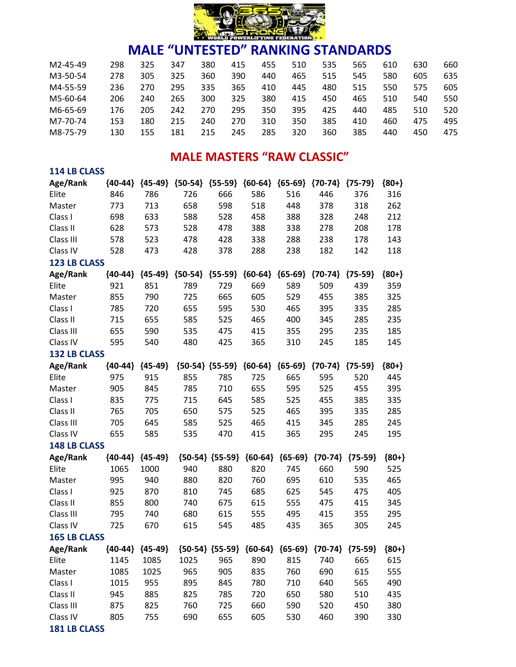

| M2-45-49 | 298 | 325 | 347 | 380 | 415 | 455 | 510 | 535 | 565 | 610 | 630 | 660 |
|----------|-----|-----|-----|-----|-----|-----|-----|-----|-----|-----|-----|-----|
| M3-50-54 | 278 | 305 | 325 | 360 | 390 | 440 | 465 | 515 | 545 | 580 | 605 | 635 |
| M4-55-59 | 236 | 270 | 295 | 335 | 365 | 410 | 445 | 480 | 515 | 550 | 575 | 605 |
| M5-60-64 | 206 | 240 | 265 | 300 | 325 | 380 | 415 | 450 | 465 | 510 | 540 | 550 |
| M6-65-69 | 176 | 205 | 242 | 270 | 295 | 350 | 395 | 425 | 440 | 485 | 510 | 520 |
| M7-70-74 | 153 | 180 | 215 | 240 | 270 | 310 | 350 | 385 | 410 | 460 | 475 | 495 |
| M8-75-79 | 130 | 155 | 181 | 215 | 245 | 285 | 320 | 360 | 385 | 440 | 450 | 475 |

### **MALE MASTERS "RAW CLASSIC"**

| <b>114 LB CLASS</b> |             |                     |           |                     |                               |           |                                                             |           |         |
|---------------------|-------------|---------------------|-----------|---------------------|-------------------------------|-----------|-------------------------------------------------------------|-----------|---------|
| Age/Rank            | ${40-44}$   | ${45-49}$           |           |                     | ${50-54}$ ${55-59}$ ${60-64}$ |           | ${65-69}$ ${70-74}$                                         | ${75-79}$ | ${80+}$ |
| Elite               | 846         | 786                 | 726       | 666                 | 586                           | 516       | 446                                                         | 376       | 316     |
| Master              | 773         | 713                 | 658       | 598                 | 518                           | 448       | 378                                                         | 318       | 262     |
| Class I             | 698         | 633                 | 588       | 528                 | 458                           | 388       | 328                                                         | 248       | 212     |
| Class II            | 628         | 573                 | 528       | 478                 | 388                           | 338       | 278                                                         | 208       | 178     |
| Class III           | 578         | 523                 | 478       | 428                 | 338                           | 288       | 238                                                         | 178       | 143     |
| Class IV            | 528         | 473                 | 428       | 378                 | 288                           | 238       | 182                                                         | 142       | 118     |
| <b>123 LB CLASS</b> |             |                     |           |                     |                               |           |                                                             |           |         |
| Age/Rank            | $\{40-44\}$ | ${45-49}$           | ${50-54}$ | ${55-59}$           | ${60-64}$                     | ${65-69}$ | ${70-74}$                                                   | ${75-59}$ | ${80+}$ |
| Elite               | 921         | 851                 | 789       | 729                 | 669                           | 589       | 509                                                         | 439       | 359     |
| Master              | 855         | 790                 | 725       | 665                 | 605                           | 529       | 455                                                         | 385       | 325     |
| Class I             | 785         | 720                 | 655       | 595                 | 530                           | 465       | 395                                                         | 335       | 285     |
| Class II            | 715         | 655                 | 585       | 525                 | 465                           | 400       | 345                                                         | 285       | 235     |
| Class III           | 655         | 590                 | 535       | 475                 | 415                           | 355       | 295                                                         | 235       | 185     |
| Class IV            | 595         | 540                 | 480       | 425                 | 365                           | 310       | 245                                                         | 185       | 145     |
| <b>132 LB CLASS</b> |             |                     |           |                     |                               |           |                                                             |           |         |
| Age/Rank            | ${40-44}$   | ${45-49}$           |           | ${50-54}$ ${55-59}$ | ${60-64}$                     | ${65-69}$ | ${70-74}$                                                   | ${75-59}$ | ${80+}$ |
| Elite               | 975         | 915                 | 855       | 785                 | 725                           | 665       | 595                                                         | 520       | 445     |
| Master              | 905         | 845                 | 785       | 710                 | 655                           | 595       | 525                                                         | 455       | 395     |
| Class I             | 835         | 775                 | 715       | 645                 | 585                           | 525       | 455                                                         | 385       | 335     |
| Class II            | 765         | 705                 | 650       | 575                 | 525                           | 465       | 395                                                         | 335       | 285     |
| Class III           | 705         | 645                 | 585       | 525                 | 465                           | 415       | 345                                                         | 285       | 245     |
| Class IV            | 655         | 585                 | 535       | 470                 | 415                           | 365       | 295                                                         | 245       | 195     |
| <b>148 LB CLASS</b> |             |                     |           |                     |                               |           |                                                             |           |         |
| Age/Rank            | ${40-44}$   | ${45-49}$           |           | ${50-54}$ ${55-59}$ | ${60-64}$                     | ${65-69}$ | ${70-74}$                                                   | ${75-59}$ | ${80+}$ |
| Elite               | 1065        | 1000                | 940       | 880                 | 820                           | 745       | 660                                                         | 590       | 525     |
| Master              | 995         | 940                 | 880       | 820                 | 760                           | 695       | 610                                                         | 535       | 465     |
| Class I             | 925         | 870                 | 810       | 745                 | 685                           | 625       | 545                                                         | 475       | 405     |
| Class II            | 855         | 800                 | 740       | 675                 | 615                           | 555       | 475                                                         | 415       | 345     |
| Class III           | 795         | 740                 | 680       | 615                 | 555                           | 495       | 415                                                         | 355       | 295     |
| Class IV            | 725         | 670                 | 615       | 545                 | 485                           | 435       | 365                                                         | 305       | 245     |
| <b>165 LB CLASS</b> |             |                     |           |                     |                               |           |                                                             |           |         |
| Age/Rank            |             | ${40-44}$ ${45-49}$ |           |                     |                               |           | ${50-54}$ ${55-59}$ ${60-64}$ ${65-69}$ ${70-74}$ ${75-59}$ |           | ${80+}$ |
| Elite               | 1145        | 1085                | 1025      | 965                 | 890                           | 815       | 740                                                         | 665       | 615     |
| Master              | 1085        | 1025                | 965       | 905                 | 835                           | 760       | 690                                                         | 615       | 555     |
| Class I             | 1015        | 955                 | 895       | 845                 | 780                           | 710       | 640                                                         | 565       | 490     |
| Class II            | 945         | 885                 | 825       | 785                 | 720                           | 650       | 580                                                         | 510       | 435     |
| Class III           | 875         | 825                 | 760       | 725                 | 660                           | 590       | 520                                                         | 450       | 380     |
| Class IV            | 805         | 755                 | 690       | 655                 | 605                           | 530       | 460                                                         | 390       | 330     |
| 181 LB CLASS        |             |                     |           |                     |                               |           |                                                             |           |         |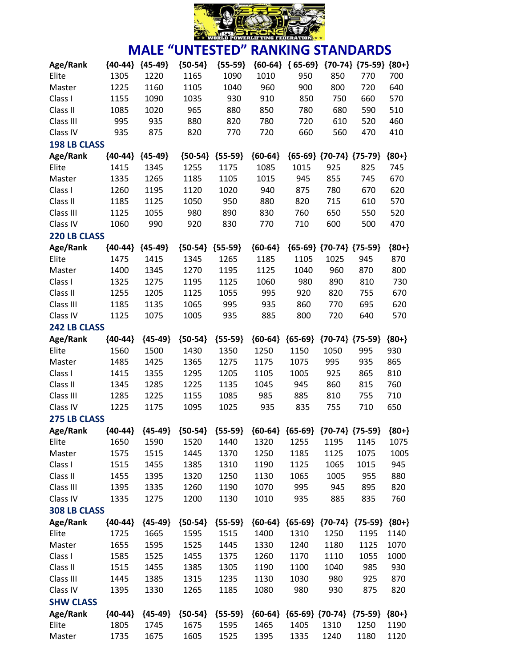

| Age/Rank            | ${40-44}$ | ${45-49}$           | ${50-54}$ | ${55-59}$ | ${60-64}$ | ${65-69}$ |                                         | ${70-74}$ ${75-59}$ | ${80+}$ |
|---------------------|-----------|---------------------|-----------|-----------|-----------|-----------|-----------------------------------------|---------------------|---------|
| Elite               | 1305      | 1220                | 1165      | 1090      | 1010      | 950       | 850                                     | 770                 | 700     |
| Master              | 1225      | 1160                | 1105      | 1040      | 960       | 900       | 800                                     | 720                 | 640     |
| Class I             | 1155      | 1090                | 1035      | 930       | 910       | 850       | 750                                     | 660                 | 570     |
| Class II            | 1085      | 1020                | 965       | 880       | 850       | 780       | 680                                     | 590                 | 510     |
| Class III           | 995       | 935                 | 880       | 820       | 780       | 720       | 610                                     | 520                 | 460     |
| Class IV            | 935       | 875                 | 820       | 770       | 720       | 660       | 560                                     | 470                 | 410     |
| <b>198 LB CLASS</b> |           |                     |           |           |           |           |                                         |                     |         |
| Age/Rank            |           | ${40-44}$ ${45-49}$ | ${50-54}$ | ${55-59}$ | ${60-64}$ |           | ${65-69}$ ${70-74}$ ${75-79}$           |                     | ${80+}$ |
| Elite               | 1415      | 1345                | 1255      | 1175      | 1085      | 1015      | 925                                     | 825                 | 745     |
| Master              | 1335      | 1265                | 1185      | 1105      | 1015      | 945       | 855                                     | 745                 | 670     |
| Class I             | 1260      | 1195                | 1120      | 1020      | 940       | 875       | 780                                     | 670                 | 620     |
| Class II            | 1185      | 1125                | 1050      | 950       | 880       | 820       | 715                                     | 610                 | 570     |
| Class III           | 1125      | 1055                | 980       | 890       | 830       | 760       | 650                                     | 550                 | 520     |
| Class IV            | 1060      | 990                 | 920       | 830       | 770       | 710       | 600                                     | 500                 | 470     |
| 220 LB CLASS        |           |                     |           |           |           |           |                                         |                     |         |
| Age/Rank            | ${40-44}$ | ${45-49}$           | ${50-54}$ | ${55-59}$ | ${60-64}$ |           | ${65-69}$ ${70-74}$ ${75-59}$           |                     | ${80+}$ |
| Elite               | 1475      | 1415                | 1345      | 1265      | 1185      | 1105      | 1025                                    | 945                 | 870     |
| Master              | 1400      | 1345                | 1270      | 1195      | 1125      | 1040      | 960                                     | 870                 | 800     |
| Class I             | 1325      | 1275                | 1195      | 1125      | 1060      | 980       | 890                                     | 810                 | 730     |
| Class II            | 1255      | 1205                | 1125      | 1055      | 995       | 920       | 820                                     | 755                 | 670     |
| Class III           | 1185      | 1135                | 1065      | 995       | 935       | 860       | 770                                     | 695                 | 620     |
| Class IV            | 1125      | 1075                | 1005      | 935       | 885       | 800       | 720                                     | 640                 | 570     |
| 242 LB CLASS        |           |                     |           |           |           |           |                                         |                     |         |
| Age/Rank            | ${40-44}$ | ${45-49}$           | ${50-54}$ | ${55-59}$ | ${60-64}$ | ${65-69}$ | ${70-74}$ ${75-59}$                     |                     | ${80+}$ |
| Elite               | 1560      | 1500                | 1430      | 1350      | 1250      | 1150      | 1050                                    | 995                 | 930     |
| Master              | 1485      | 1425                | 1365      | 1275      | 1175      | 1075      | 995                                     | 935                 | 865     |
| Class I             | 1415      | 1355                | 1295      | 1205      | 1105      | 1005      | 925                                     | 865                 | 810     |
| Class II            | 1345      | 1285                | 1225      | 1135      | 1045      | 945       | 860                                     | 815                 | 760     |
| Class III           | 1285      | 1225                | 1155      | 1085      | 985       | 885       | 810                                     | 755                 | 710     |
| Class IV            | 1225      | 1175                | 1095      | 1025      | 935       | 835       | 755                                     | 710                 | 650     |
| <b>275 LB CLASS</b> |           |                     |           |           |           |           |                                         |                     |         |
| Age/Rank            | ${40-44}$ | ${45-49}$           | ${50-54}$ | ${55-59}$ |           |           | ${60-64}$ ${65-69}$ ${70-74}$ ${75-59}$ |                     | ${80+}$ |
| Elite               | 1650      | 1590                | 1520      | 1440      | 1320      | 1255      | 1195                                    | 1145                | 1075    |
| Master              | 1575      | 1515                | 1445      | 1370      | 1250      | 1185      | 1125                                    | 1075                | 1005    |
| Class I             | 1515      | 1455                | 1385      | 1310      | 1190      | 1125      | 1065                                    | 1015                | 945     |
| Class II            | 1455      | 1395                | 1320      | 1250      | 1130      | 1065      | 1005                                    | 955                 | 880     |
| Class III           | 1395      | 1335                | 1260      | 1190      | 1070      | 995       | 945                                     | 895                 | 820     |
| Class IV            | 1335      | 1275                | 1200      | 1130      | 1010      | 935       | 885                                     | 835                 | 760     |
| 308 LB CLASS        |           |                     |           |           |           |           |                                         |                     |         |
| Age/Rank            | ${40-44}$ | ${45-49}$           | ${50-54}$ | ${55-59}$ |           |           | ${60-64}$ ${65-69}$ ${70-74}$ ${75-59}$ |                     | ${80+}$ |
| Elite               | 1725      | 1665                | 1595      | 1515      | 1400      | 1310      | 1250                                    | 1195                | 1140    |
| Master              | 1655      | 1595                | 1525      | 1445      | 1330      | 1240      | 1180                                    | 1125                | 1070    |
| Class I             | 1585      | 1525                | 1455      | 1375      | 1260      | 1170      | 1110                                    | 1055                | 1000    |
| Class II            | 1515      | 1455                | 1385      | 1305      | 1190      | 1100      | 1040                                    | 985                 | 930     |
| Class III           | 1445      | 1385                | 1315      | 1235      | 1130      | 1030      | 980                                     | 925                 | 870     |
| Class IV            | 1395      | 1330                | 1265      | 1185      | 1080      | 980       | 930                                     | 875                 | 820     |
| <b>SHW CLASS</b>    |           |                     |           |           |           |           |                                         |                     |         |
| Age/Rank            | ${40-44}$ | ${45-49}$           | ${50-54}$ | ${55-59}$ |           |           | ${60-64}$ ${65-69}$ ${70-74}$ ${75-59}$ |                     | ${80+}$ |
| Elite               | 1805      | 1745                | 1675      | 1595      | 1465      | 1405      | 1310                                    | 1250                | 1190    |
| Master              | 1735      | 1675                | 1605      | 1525      | 1395      | 1335      | 1240                                    | 1180                | 1120    |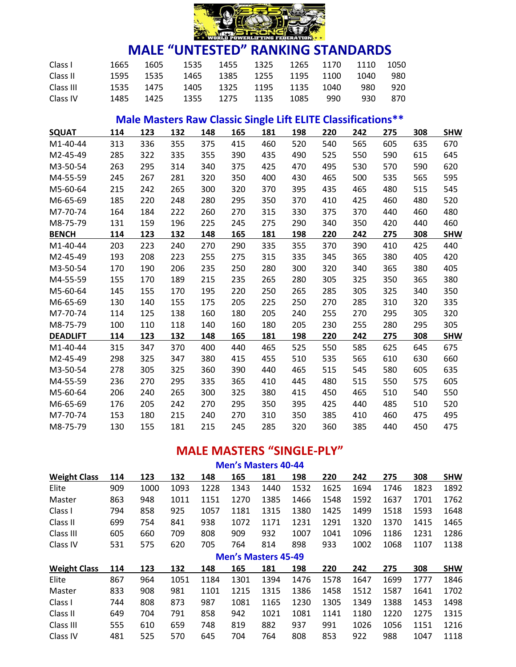

| Class I   | 1665 | 1605      | 1535                               | 1455 1325 1265 1170      |      |     | 1110 | -1050 |
|-----------|------|-----------|------------------------------------|--------------------------|------|-----|------|-------|
| Class II  |      | 1595 1535 |                                    | 1465 1385 1255 1195 1100 |      |     | 1040 | 980   |
| Class III |      |           | 1535 1475 1405 1325 1195 1135 1040 |                          |      |     | 980. | 920   |
| Class IV  | 1485 | 1425      |                                    | 1355 1275 1135           | 1085 | 990 | 930. | 870   |

# **Male Masters Raw Classic Single Lift ELITE Classifications\*\***

| <b>SQUAT</b>    | 114 | 123 | 132 | 148 | 165 | 181 | 198 | 220 | 242 | 275 | 308 | <b>SHW</b> |
|-----------------|-----|-----|-----|-----|-----|-----|-----|-----|-----|-----|-----|------------|
| M1-40-44        | 313 | 336 | 355 | 375 | 415 | 460 | 520 | 540 | 565 | 605 | 635 | 670        |
| M2-45-49        | 285 | 322 | 335 | 355 | 390 | 435 | 490 | 525 | 550 | 590 | 615 | 645        |
| M3-50-54        | 263 | 295 | 314 | 340 | 375 | 425 | 470 | 495 | 530 | 570 | 590 | 620        |
| M4-55-59        | 245 | 267 | 281 | 320 | 350 | 400 | 430 | 465 | 500 | 535 | 565 | 595        |
| M5-60-64        | 215 | 242 | 265 | 300 | 320 | 370 | 395 | 435 | 465 | 480 | 515 | 545        |
| M6-65-69        | 185 | 220 | 248 | 280 | 295 | 350 | 370 | 410 | 425 | 460 | 480 | 520        |
| M7-70-74        | 164 | 184 | 222 | 260 | 270 | 315 | 330 | 375 | 370 | 440 | 460 | 480        |
| M8-75-79        | 131 | 159 | 196 | 225 | 245 | 275 | 290 | 340 | 350 | 420 | 440 | 460        |
| <b>BENCH</b>    | 114 | 123 | 132 | 148 | 165 | 181 | 198 | 220 | 242 | 275 | 308 | <b>SHW</b> |
| $M1-40-44$      | 203 | 223 | 240 | 270 | 290 | 335 | 355 | 370 | 390 | 410 | 425 | 440        |
| M2-45-49        | 193 | 208 | 223 | 255 | 275 | 315 | 335 | 345 | 365 | 380 | 405 | 420        |
| M3-50-54        | 170 | 190 | 206 | 235 | 250 | 280 | 300 | 320 | 340 | 365 | 380 | 405        |
| M4-55-59        | 155 | 170 | 189 | 215 | 235 | 265 | 280 | 305 | 325 | 350 | 365 | 380        |
| M5-60-64        | 145 | 155 | 170 | 195 | 220 | 250 | 265 | 285 | 305 | 325 | 340 | 350        |
| M6-65-69        | 130 | 140 | 155 | 175 | 205 | 225 | 250 | 270 | 285 | 310 | 320 | 335        |
| M7-70-74        | 114 | 125 | 138 | 160 | 180 | 205 | 240 | 255 | 270 | 295 | 305 | 320        |
| M8-75-79        | 100 | 110 | 118 | 140 | 160 | 180 | 205 | 230 | 255 | 280 | 295 | 305        |
| <b>DEADLIFT</b> | 114 | 123 | 132 | 148 | 165 | 181 | 198 | 220 | 242 | 275 | 308 | <b>SHW</b> |
| M1-40-44        | 315 | 347 | 370 | 400 | 440 | 465 | 525 | 550 | 585 | 625 | 645 | 675        |
| M2-45-49        | 298 | 325 | 347 | 380 | 415 | 455 | 510 | 535 | 565 | 610 | 630 | 660        |
| M3-50-54        | 278 | 305 | 325 | 360 | 390 | 440 | 465 | 515 | 545 | 580 | 605 | 635        |
| M4-55-59        | 236 | 270 | 295 | 335 | 365 | 410 | 445 | 480 | 515 | 550 | 575 | 605        |
| M5-60-64        | 206 | 240 | 265 | 300 | 325 | 380 | 415 | 450 | 465 | 510 | 540 | 550        |
| M6-65-69        | 176 | 205 | 242 | 270 | 295 | 350 | 395 | 425 | 440 | 485 | 510 | 520        |
| M7-70-74        | 153 | 180 | 215 | 240 | 270 | 310 | 350 | 385 | 410 | 460 | 475 | 495        |
| M8-75-79        | 130 | 155 | 181 | 215 | 245 | 285 | 320 | 360 | 385 | 440 | 450 | 475        |

### **MALE MASTERS "SINGLE-PLY"**

| <b>Men's Masters 40-44</b> |     |      |      |      |      |                            |      |      |      |      |      |            |  |  |
|----------------------------|-----|------|------|------|------|----------------------------|------|------|------|------|------|------------|--|--|
| <b>Weight Class</b>        | 114 | 123  | 132  | 148  | 165  | 181                        | 198  | 220  | 242  | 275  | 308  | <b>SHW</b> |  |  |
| Elite                      | 909 | 1000 | 1093 | 1228 | 1343 | 1440                       | 1532 | 1625 | 1694 | 1746 | 1823 | 1892       |  |  |
| Master                     | 863 | 948  | 1011 | 1151 | 1270 | 1385                       | 1466 | 1548 | 1592 | 1637 | 1701 | 1762       |  |  |
| Class I                    | 794 | 858  | 925  | 1057 | 1181 | 1315                       | 1380 | 1425 | 1499 | 1518 | 1593 | 1648       |  |  |
| Class II                   | 699 | 754  | 841  | 938  | 1072 | 1171                       | 1231 | 1291 | 1320 | 1370 | 1415 | 1465       |  |  |
| Class III                  | 605 | 660  | 709  | 808  | 909  | 932                        | 1007 | 1041 | 1096 | 1186 | 1231 | 1286       |  |  |
| Class IV                   | 531 | 575  | 620  | 705  | 764  | 814                        | 898  | 933  | 1002 | 1068 | 1107 | 1138       |  |  |
|                            |     |      |      |      |      | <b>Men's Masters 45-49</b> |      |      |      |      |      |            |  |  |
| <b>Weight Class</b>        | 114 | 123  | 132  | 148  | 165  | 181                        | 198  | 220  | 242  | 275  | 308  | <b>SHW</b> |  |  |
| Elite                      | 867 | 964  | 1051 | 1184 | 1301 | 1394                       | 1476 | 1578 | 1647 | 1699 | 1777 | 1846       |  |  |
| Master                     | 833 | 908  | 981  | 1101 | 1215 | 1315                       | 1386 | 1458 | 1512 | 1587 | 1641 | 1702       |  |  |
| Class I                    | 744 | 808  | 873  | 987  | 1081 | 1165                       | 1230 | 1305 | 1349 | 1388 | 1453 | 1498       |  |  |
| Class II                   | 649 | 704  | 791  | 858  | 942  | 1021                       | 1081 | 1141 | 1180 | 1220 | 1275 | 1315       |  |  |
| Class III                  | 555 | 610  | 659  | 748  | 819  | 882                        | 937  | 991  | 1026 | 1056 | 1151 | 1216       |  |  |
| Class IV                   | 481 | 525  | 570  | 645  | 704  | 764                        | 808  | 853  | 922  | 988  | 1047 | 1118       |  |  |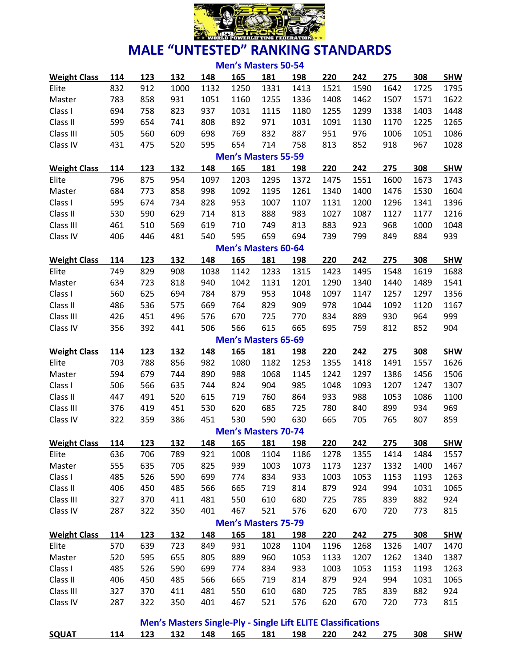

| <b>Men's Masters 50-54</b> |     |     |                                                                     |      |                            |      |      |      |      |      |      |            |
|----------------------------|-----|-----|---------------------------------------------------------------------|------|----------------------------|------|------|------|------|------|------|------------|
| <b>Weight Class</b>        | 114 | 123 | 132                                                                 | 148  | 165                        | 181  | 198  | 220  | 242  | 275  | 308  | <b>SHW</b> |
| Elite                      | 832 | 912 | 1000                                                                | 1132 | 1250                       | 1331 | 1413 | 1521 | 1590 | 1642 | 1725 | 1795       |
| Master                     | 783 | 858 | 931                                                                 | 1051 | 1160                       | 1255 | 1336 | 1408 | 1462 | 1507 | 1571 | 1622       |
| Class I                    | 694 | 758 | 823                                                                 | 937  | 1031                       | 1115 | 1180 | 1255 | 1299 | 1338 | 1403 | 1448       |
| Class II                   | 599 | 654 | 741                                                                 | 808  | 892                        | 971  | 1031 | 1091 | 1130 | 1170 | 1225 | 1265       |
| Class III                  | 505 | 560 | 609                                                                 | 698  | 769                        | 832  | 887  | 951  | 976  | 1006 | 1051 | 1086       |
| Class IV                   | 431 | 475 | 520                                                                 | 595  | 654                        | 714  | 758  | 813  | 852  | 918  | 967  | 1028       |
|                            |     |     |                                                                     |      | <b>Men's Masters 55-59</b> |      |      |      |      |      |      |            |
| <b>Weight Class</b>        | 114 | 123 | 132                                                                 | 148  | 165                        | 181  | 198  | 220  | 242  | 275  | 308  | <b>SHW</b> |
| Elite                      | 796 | 875 | 954                                                                 | 1097 | 1203                       | 1295 | 1372 | 1475 | 1551 | 1600 | 1673 | 1743       |
| Master                     | 684 | 773 | 858                                                                 | 998  | 1092                       | 1195 | 1261 | 1340 | 1400 | 1476 | 1530 | 1604       |
| Class I                    | 595 | 674 | 734                                                                 | 828  | 953                        | 1007 | 1107 | 1131 | 1200 | 1296 | 1341 | 1396       |
| Class II                   | 530 | 590 | 629                                                                 | 714  | 813                        | 888  | 983  | 1027 | 1087 | 1127 | 1177 | 1216       |
| Class III                  | 461 | 510 | 569                                                                 | 619  | 710                        | 749  | 813  | 883  | 923  | 968  | 1000 | 1048       |
| Class IV                   | 406 | 446 | 481                                                                 | 540  | 595                        | 659  | 694  | 739  | 799  | 849  | 884  | 939        |
|                            |     |     |                                                                     |      | <b>Men's Masters 60-64</b> |      |      |      |      |      |      |            |
| <b>Weight Class</b>        | 114 | 123 | 132                                                                 | 148  | 165                        | 181  | 198  | 220  | 242  | 275  | 308  | <b>SHW</b> |
| Elite                      | 749 | 829 | 908                                                                 | 1038 | 1142                       | 1233 | 1315 | 1423 | 1495 | 1548 | 1619 | 1688       |
| Master                     | 634 | 723 | 818                                                                 | 940  | 1042                       | 1131 | 1201 | 1290 | 1340 | 1440 | 1489 | 1541       |
| Class I                    | 560 | 625 | 694                                                                 | 784  | 879                        | 953  | 1048 | 1097 | 1147 | 1257 | 1297 | 1356       |
| Class II                   | 486 | 536 | 575                                                                 | 669  | 764                        | 829  | 909  | 978  | 1044 | 1092 | 1120 | 1167       |
| Class III                  | 426 | 451 | 496                                                                 | 576  | 670                        | 725  | 770  | 834  | 889  | 930  | 964  | 999        |
| Class IV                   | 356 | 392 | 441                                                                 | 506  | 566                        | 615  | 665  | 695  | 759  | 812  | 852  | 904        |
|                            |     |     |                                                                     |      | <b>Men's Masters 65-69</b> |      |      |      |      |      |      |            |
| <b>Weight Class</b>        | 114 | 123 | 132                                                                 | 148  | 165                        | 181  | 198  | 220  | 242  | 275  | 308  | <b>SHW</b> |
| Elite                      | 703 | 788 | 856                                                                 | 982  | 1080                       | 1182 | 1253 | 1355 | 1418 | 1491 | 1557 | 1626       |
| Master                     | 594 | 679 | 744                                                                 | 890  | 988                        | 1068 | 1145 | 1242 | 1297 | 1386 | 1456 | 1506       |
| Class I                    | 506 | 566 | 635                                                                 | 744  | 824                        | 904  | 985  | 1048 | 1093 | 1207 | 1247 | 1307       |
| Class II                   | 447 | 491 | 520                                                                 | 615  | 719                        | 760  | 864  | 933  | 988  | 1053 | 1086 | 1100       |
| Class III                  | 376 | 419 | 451                                                                 | 530  | 620                        | 685  | 725  | 780  | 840  | 899  | 934  | 969        |
| Class IV                   | 322 | 359 | 386                                                                 | 451  | 530                        | 590  | 630  | 665  | 705  | 765  | 807  | 859        |
|                            |     |     |                                                                     |      | <b>Men's Masters 70-74</b> |      |      |      |      |      |      |            |
| <b>Weight Class</b>        | 114 | 123 | 132                                                                 | 148  | 165                        | 181  | 198  | 220  | 242  | 275  | 308  | <b>SHW</b> |
| Elite                      | 636 | 706 | 789                                                                 | 921  | 1008                       | 1104 | 1186 | 1278 | 1355 | 1414 | 1484 | 1557       |
| Master                     | 555 | 635 | 705                                                                 | 825  | 939                        | 1003 | 1073 | 1173 | 1237 | 1332 | 1400 | 1467       |
| Class I                    | 485 | 526 | 590                                                                 | 699  | 774                        | 834  | 933  | 1003 | 1053 | 1153 | 1193 | 1263       |
| Class II                   | 406 | 450 | 485                                                                 | 566  | 665                        | 719  | 814  | 879  | 924  | 994  | 1031 | 1065       |
| Class III                  | 327 | 370 | 411                                                                 | 481  | 550                        | 610  | 680  | 725  | 785  | 839  | 882  | 924        |
| Class IV                   | 287 | 322 | 350                                                                 | 401  | 467                        | 521  | 576  | 620  | 670  | 720  | 773  | 815        |
|                            |     |     |                                                                     |      | <b>Men's Masters 75-79</b> |      |      |      |      |      |      |            |
| <b>Weight Class</b>        | 114 | 123 | 132                                                                 | 148  | 165                        | 181  | 198  | 220  | 242  | 275  | 308  | <b>SHW</b> |
| Elite                      | 570 | 639 | 723                                                                 | 849  | 931                        | 1028 | 1104 | 1196 | 1268 | 1326 | 1407 | 1470       |
| Master                     | 520 | 595 | 655                                                                 | 805  | 889                        | 960  | 1053 | 1133 | 1207 | 1262 | 1340 | 1387       |
| Class I                    | 485 | 526 | 590                                                                 | 699  | 774                        | 834  | 933  | 1003 | 1053 | 1153 | 1193 | 1263       |
| Class II                   | 406 | 450 | 485                                                                 | 566  | 665                        | 719  | 814  | 879  | 924  | 994  | 1031 | 1065       |
| Class III                  | 327 | 370 | 411                                                                 | 481  | 550                        | 610  | 680  | 725  | 785  | 839  | 882  | 924        |
| Class IV                   | 287 | 322 | 350                                                                 | 401  | 467                        | 521  | 576  | 620  | 670  | 720  | 773  | 815        |
|                            |     |     |                                                                     |      |                            |      |      |      |      |      |      |            |
|                            |     |     | <b>Men's Masters Single-Ply - Single Lift ELITE Classifications</b> |      |                            |      |      |      |      |      |      |            |

**SQUAT 114 123 132 148 165 181 198 220 242 275 308 SHW**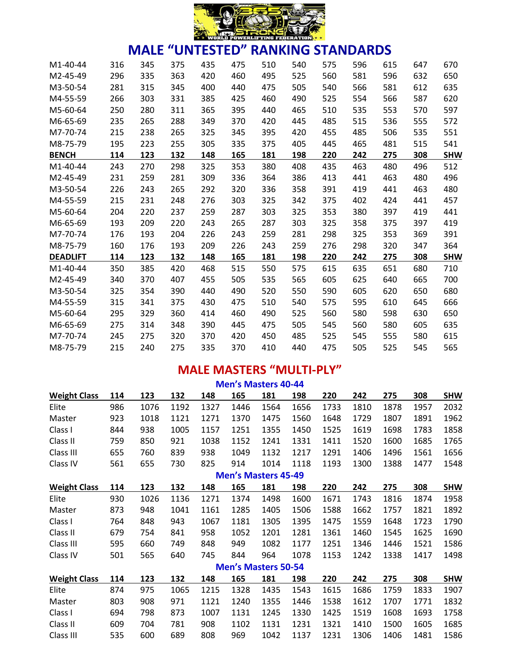

| M <sub>1</sub> -40-44 | 316 | 345 | 375 | 435 | 475 | 510 | 540 | 575 | 596 | 615 | 647 | 670        |
|-----------------------|-----|-----|-----|-----|-----|-----|-----|-----|-----|-----|-----|------------|
| M2-45-49              | 296 | 335 | 363 | 420 | 460 | 495 | 525 | 560 | 581 | 596 | 632 | 650        |
| M3-50-54              | 281 | 315 | 345 | 400 | 440 | 475 | 505 | 540 | 566 | 581 | 612 | 635        |
| M4-55-59              | 266 | 303 | 331 | 385 | 425 | 460 | 490 | 525 | 554 | 566 | 587 | 620        |
| M5-60-64              | 250 | 280 | 311 | 365 | 395 | 440 | 465 | 510 | 535 | 553 | 570 | 597        |
| M6-65-69              | 235 | 265 | 288 | 349 | 370 | 420 | 445 | 485 | 515 | 536 | 555 | 572        |
| M7-70-74              | 215 | 238 | 265 | 325 | 345 | 395 | 420 | 455 | 485 | 506 | 535 | 551        |
| M8-75-79              | 195 | 223 | 255 | 305 | 335 | 375 | 405 | 445 | 465 | 481 | 515 | 541        |
| <b>BENCH</b>          | 114 | 123 | 132 | 148 | 165 | 181 | 198 | 220 | 242 | 275 | 308 | <b>SHW</b> |
| M1-40-44              | 243 | 270 | 298 | 325 | 353 | 380 | 408 | 435 | 463 | 480 | 496 | 512        |
| M2-45-49              | 231 | 259 | 281 | 309 | 336 | 364 | 386 | 413 | 441 | 463 | 480 | 496        |
| M3-50-54              | 226 | 243 | 265 | 292 | 320 | 336 | 358 | 391 | 419 | 441 | 463 | 480        |
| M4-55-59              | 215 | 231 | 248 | 276 | 303 | 325 | 342 | 375 | 402 | 424 | 441 | 457        |
| M5-60-64              | 204 | 220 | 237 | 259 | 287 | 303 | 325 | 353 | 380 | 397 | 419 | 441        |
| M6-65-69              | 193 | 209 | 220 | 243 | 265 | 287 | 303 | 325 | 358 | 375 | 397 | 419        |
| M7-70-74              | 176 | 193 | 204 | 226 | 243 | 259 | 281 | 298 | 325 | 353 | 369 | 391        |
| M8-75-79              | 160 | 176 | 193 | 209 | 226 | 243 | 259 | 276 | 298 | 320 | 347 | 364        |
| <b>DEADLIFT</b>       | 114 | 123 | 132 | 148 | 165 | 181 | 198 | 220 | 242 | 275 | 308 | <b>SHW</b> |
| M1-40-44              | 350 | 385 | 420 | 468 | 515 | 550 | 575 | 615 | 635 | 651 | 680 | 710        |
| M2-45-49              | 340 | 370 | 407 | 455 | 505 | 535 | 565 | 605 | 625 | 640 | 665 | 700        |
| M3-50-54              | 325 | 354 | 390 | 440 | 490 | 520 | 550 | 590 | 605 | 620 | 650 | 680        |
| M4-55-59              | 315 | 341 | 375 | 430 | 475 | 510 | 540 | 575 | 595 | 610 | 645 | 666        |
| M5-60-64              | 295 | 329 | 360 | 414 | 460 | 490 | 525 | 560 | 580 | 598 | 630 | 650        |
| M6-65-69              | 275 | 314 | 348 | 390 | 445 | 475 | 505 | 545 | 560 | 580 | 605 | 635        |
| M7-70-74              | 245 | 275 | 320 | 370 | 420 | 450 | 485 | 525 | 545 | 555 | 580 | 615        |
| M8-75-79              | 215 | 240 | 275 | 335 | 370 | 410 | 440 | 475 | 505 | 525 | 545 | 565        |

# **MALE MASTERS "MULTI-PLY"**

| <b>Men's Masters 40-44</b> |     |      |      |      |                            |      |      |      |      |      |      |            |  |
|----------------------------|-----|------|------|------|----------------------------|------|------|------|------|------|------|------------|--|
| <b>Weight Class</b>        | 114 | 123  | 132  | 148  | 165                        | 181  | 198  | 220  | 242  | 275  | 308  | <b>SHW</b> |  |
| Elite                      | 986 | 1076 | 1192 | 1327 | 1446                       | 1564 | 1656 | 1733 | 1810 | 1878 | 1957 | 2032       |  |
| Master                     | 923 | 1018 | 1121 | 1271 | 1370                       | 1475 | 1560 | 1648 | 1729 | 1807 | 1891 | 1962       |  |
| Class I                    | 844 | 938  | 1005 | 1157 | 1251                       | 1355 | 1450 | 1525 | 1619 | 1698 | 1783 | 1858       |  |
| Class II                   | 759 | 850  | 921  | 1038 | 1152                       | 1241 | 1331 | 1411 | 1520 | 1600 | 1685 | 1765       |  |
| Class III                  | 655 | 760  | 839  | 938  | 1049                       | 1132 | 1217 | 1291 | 1406 | 1496 | 1561 | 1656       |  |
| Class IV                   | 561 | 655  | 730  | 825  | 914                        | 1014 | 1118 | 1193 | 1300 | 1388 | 1477 | 1548       |  |
|                            |     |      |      |      | <b>Men's Masters 45-49</b> |      |      |      |      |      |      |            |  |
| <b>Weight Class</b>        | 114 | 123  | 132  | 148  | 165                        | 181  | 198  | 220  | 242  | 275  | 308  | <b>SHW</b> |  |
| Elite                      | 930 | 1026 | 1136 | 1271 | 1374                       | 1498 | 1600 | 1671 | 1743 | 1816 | 1874 | 1958       |  |
| Master                     | 873 | 948  | 1041 | 1161 | 1285                       | 1405 | 1506 | 1588 | 1662 | 1757 | 1821 | 1892       |  |
| Class I                    | 764 | 848  | 943  | 1067 | 1181                       | 1305 | 1395 | 1475 | 1559 | 1648 | 1723 | 1790       |  |
| Class II                   | 679 | 754  | 841  | 958  | 1052                       | 1201 | 1281 | 1361 | 1460 | 1545 | 1625 | 1690       |  |
| Class III                  | 595 | 660  | 749  | 848  | 949                        | 1082 | 1177 | 1251 | 1346 | 1446 | 1521 | 1586       |  |
| Class IV                   | 501 | 565  | 640  | 745  | 844                        | 964  | 1078 | 1153 | 1242 | 1338 | 1417 | 1498       |  |
|                            |     |      |      |      | <b>Men's Masters 50-54</b> |      |      |      |      |      |      |            |  |
| <b>Weight Class</b>        | 114 | 123  | 132  | 148  | 165                        | 181  | 198  | 220  | 242  | 275  | 308  | <b>SHW</b> |  |
| Elite                      | 874 | 975  | 1065 | 1215 | 1328                       | 1435 | 1543 | 1615 | 1686 | 1759 | 1833 | 1907       |  |
| Master                     | 803 | 908  | 971  | 1121 | 1240                       | 1355 | 1446 | 1538 | 1612 | 1707 | 1771 | 1832       |  |
| Class I                    | 694 | 798  | 873  | 1007 | 1131                       | 1245 | 1330 | 1425 | 1519 | 1608 | 1693 | 1758       |  |
| Class II                   | 609 | 704  | 781  | 908  | 1102                       | 1131 | 1231 | 1321 | 1410 | 1500 | 1605 | 1685       |  |
| Class III                  | 535 | 600  | 689  | 808  | 969                        | 1042 | 1137 | 1231 | 1306 | 1406 | 1481 | 1586       |  |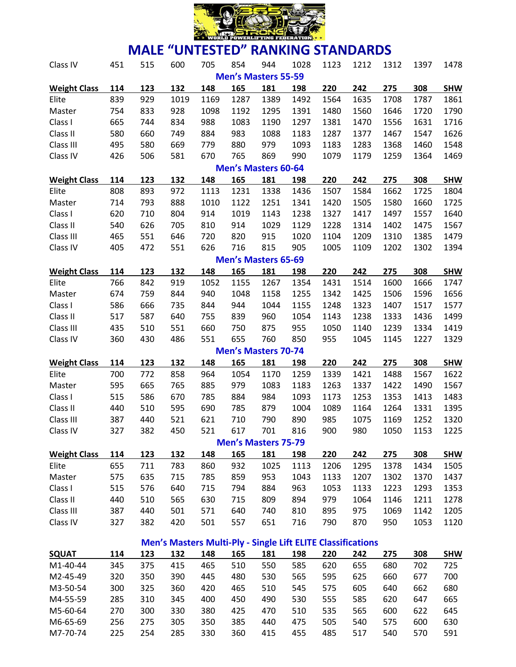

| Class IV            | 451 | 515 | 600                                                                | 705  | 854                        | 944  | 1028 | 1123 | 1212 | 1312 | 1397 | 1478       |
|---------------------|-----|-----|--------------------------------------------------------------------|------|----------------------------|------|------|------|------|------|------|------------|
|                     |     |     |                                                                    |      | <b>Men's Masters 55-59</b> |      |      |      |      |      |      |            |
| <b>Weight Class</b> | 114 | 123 | 132                                                                | 148  | 165                        | 181  | 198  | 220  | 242  | 275  | 308  | <b>SHW</b> |
| Elite               | 839 | 929 | 1019                                                               | 1169 | 1287                       | 1389 | 1492 | 1564 | 1635 | 1708 | 1787 | 1861       |
| Master              | 754 | 833 | 928                                                                | 1098 | 1192                       | 1295 | 1391 | 1480 | 1560 | 1646 | 1720 | 1790       |
| Class I             | 665 | 744 | 834                                                                | 988  | 1083                       | 1190 | 1297 | 1381 | 1470 | 1556 | 1631 | 1716       |
| Class II            | 580 | 660 | 749                                                                | 884  | 983                        | 1088 | 1183 | 1287 | 1377 | 1467 | 1547 | 1626       |
| Class III           | 495 | 580 | 669                                                                | 779  | 880                        | 979  | 1093 | 1183 | 1283 | 1368 | 1460 | 1548       |
| Class IV            | 426 | 506 | 581                                                                | 670  | 765                        | 869  | 990  | 1079 | 1179 | 1259 | 1364 | 1469       |
|                     |     |     |                                                                    |      | <b>Men's Masters 60-64</b> |      |      |      |      |      |      |            |
| <b>Weight Class</b> | 114 | 123 | 132                                                                | 148  | 165                        | 181  | 198  | 220  | 242  | 275  | 308  | <b>SHW</b> |
| Elite               | 808 | 893 | 972                                                                | 1113 | 1231                       | 1338 | 1436 | 1507 | 1584 | 1662 | 1725 | 1804       |
| Master              | 714 | 793 | 888                                                                | 1010 | 1122                       | 1251 | 1341 | 1420 | 1505 | 1580 | 1660 | 1725       |
| Class I             | 620 | 710 | 804                                                                | 914  | 1019                       | 1143 | 1238 | 1327 | 1417 | 1497 | 1557 | 1640       |
| Class II            | 540 | 626 | 705                                                                | 810  | 914                        | 1029 | 1129 | 1228 | 1314 | 1402 | 1475 | 1567       |
| Class III           | 465 | 551 | 646                                                                | 720  | 820                        | 915  | 1020 | 1104 | 1209 | 1310 | 1385 | 1479       |
| Class IV            | 405 | 472 | 551                                                                | 626  | 716                        | 815  | 905  | 1005 | 1109 | 1202 | 1302 | 1394       |
|                     |     |     |                                                                    |      | <b>Men's Masters 65-69</b> |      |      |      |      |      |      |            |
| <b>Weight Class</b> | 114 | 123 | 132                                                                | 148  | 165                        | 181  | 198  | 220  | 242  | 275  | 308  | <b>SHW</b> |
| Elite               | 766 | 842 | 919                                                                | 1052 | 1155                       | 1267 | 1354 | 1431 | 1514 | 1600 | 1666 | 1747       |
| Master              | 674 | 759 | 844                                                                | 940  | 1048                       | 1158 | 1255 | 1342 | 1425 | 1506 | 1596 | 1656       |
| Class I             | 586 | 666 | 735                                                                | 844  | 944                        | 1044 | 1155 | 1248 | 1323 | 1407 | 1517 | 1577       |
| Class II            | 517 | 587 | 640                                                                | 755  | 839                        | 960  | 1054 | 1143 | 1238 | 1333 | 1436 | 1499       |
| Class III           | 435 | 510 | 551                                                                | 660  | 750                        | 875  | 955  | 1050 | 1140 | 1239 | 1334 | 1419       |
| Class IV            | 360 | 430 | 486                                                                | 551  | 655                        | 760  | 850  | 955  | 1045 | 1145 | 1227 | 1329       |
|                     |     |     |                                                                    |      | <b>Men's Masters 70-74</b> |      |      |      |      |      |      |            |
| <b>Weight Class</b> | 114 | 123 | 132                                                                | 148  | 165                        | 181  | 198  | 220  | 242  | 275  | 308  | <b>SHW</b> |
| Elite               | 700 | 772 | 858                                                                | 964  | 1054                       | 1170 | 1259 | 1339 | 1421 | 1488 | 1567 | 1622       |
| Master              | 595 | 665 | 765                                                                | 885  | 979                        | 1083 | 1183 | 1263 | 1337 | 1422 | 1490 | 1567       |
| Class I             | 515 | 586 | 670                                                                | 785  | 884                        | 984  | 1093 | 1173 | 1253 | 1353 | 1413 | 1483       |
| Class II            | 440 | 510 | 595                                                                | 690  | 785                        | 879  | 1004 | 1089 | 1164 | 1264 | 1331 | 1395       |
| Class III           | 387 | 440 | 521                                                                | 621  | 710                        | 790  | 890  | 985  | 1075 | 1169 | 1252 | 1320       |
| Class IV            | 327 | 382 | 450                                                                | 521  | 617                        | 701  | 816  | 900  | 980  | 1050 | 1153 | 1225       |
|                     |     |     |                                                                    |      | <b>Men's Masters 75-79</b> |      |      |      |      |      |      |            |
| <b>Weight Class</b> | 114 | 123 | 132                                                                | 148  | 165                        | 181  | 198  | 220  | 242  | 275  | 308  | <b>SHW</b> |
| Elite               | 655 | 711 | 783                                                                | 860  | 932                        | 1025 | 1113 | 1206 | 1295 | 1378 | 1434 | 1505       |
| Master              | 575 | 635 | 715                                                                | 785  | 859                        | 953  | 1043 | 1133 | 1207 | 1302 | 1370 | 1437       |
| Class I             | 515 | 576 | 640                                                                | 715  | 794                        | 884  | 963  | 1053 | 1133 | 1223 | 1293 | 1353       |
| Class II            | 440 | 510 | 565                                                                | 630  | 715                        | 809  | 894  | 979  | 1064 | 1146 | 1211 | 1278       |
| Class III           | 387 | 440 | 501                                                                | 571  | 640                        | 740  | 810  | 895  | 975  | 1069 | 1142 | 1205       |
| Class IV            | 327 | 382 | 420                                                                | 501  | 557                        | 651  | 716  | 790  | 870  | 950  | 1053 | 1120       |
|                     |     |     |                                                                    |      |                            |      |      |      |      |      |      |            |
|                     |     |     | <b>Men's Masters Multi-Ply - Single Lift ELITE Classifications</b> |      |                            |      |      |      |      |      |      |            |
| <b>SQUAT</b>        | 114 | 123 | 132                                                                | 148  | 165                        | 181  | 198  | 220  | 242  | 275  | 308  | <b>SHW</b> |
| M1-40-44            | 345 | 375 | 415                                                                | 465  | 510                        | 550  | 585  | 620  | 655  | 680  | 702  | 725        |
| M2-45-49            | 320 | 350 | 390                                                                | 445  | 480                        | 530  | 565  | 595  | 625  | 660  | 677  | 700        |
| M3-50-54            | 300 | 325 | 360                                                                | 420  | 465                        | 510  | 545  | 575  | 605  | 640  | 662  | 680        |
| M4-55-59            | 285 | 310 | 345                                                                | 400  | 450                        | 490  | 530  | 555  | 585  | 620  | 647  | 665        |

M5-60-64 270 300 330 380 425 470 510 535 565 600 622 645 M6-65-69 256 275 305 350 385 440 475 505 540 575 600 630 M7-70-74 225 254 285 330 360 415 455 485 517 540 570 591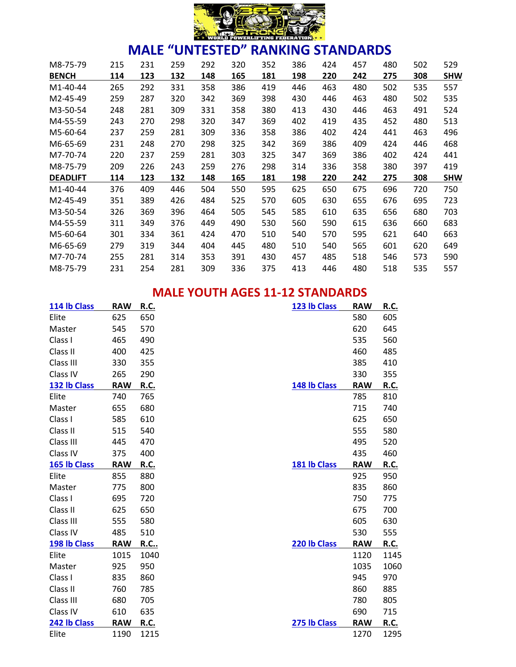

| M8-75-79        | 215 | 231 | 259 | 292 | 320 | 352 | 386 | 424 | 457 | 480 | 502 | 529        |
|-----------------|-----|-----|-----|-----|-----|-----|-----|-----|-----|-----|-----|------------|
| <b>BENCH</b>    | 114 | 123 | 132 | 148 | 165 | 181 | 198 | 220 | 242 | 275 | 308 | <b>SHW</b> |
| M1-40-44        | 265 | 292 | 331 | 358 | 386 | 419 | 446 | 463 | 480 | 502 | 535 | 557        |
| M2-45-49        | 259 | 287 | 320 | 342 | 369 | 398 | 430 | 446 | 463 | 480 | 502 | 535        |
| M3-50-54        | 248 | 281 | 309 | 331 | 358 | 380 | 413 | 430 | 446 | 463 | 491 | 524        |
| M4-55-59        | 243 | 270 | 298 | 320 | 347 | 369 | 402 | 419 | 435 | 452 | 480 | 513        |
| M5-60-64        | 237 | 259 | 281 | 309 | 336 | 358 | 386 | 402 | 424 | 441 | 463 | 496        |
| M6-65-69        | 231 | 248 | 270 | 298 | 325 | 342 | 369 | 386 | 409 | 424 | 446 | 468        |
| M7-70-74        | 220 | 237 | 259 | 281 | 303 | 325 | 347 | 369 | 386 | 402 | 424 | 441        |
| M8-75-79        | 209 | 226 | 243 | 259 | 276 | 298 | 314 | 336 | 358 | 380 | 397 | 419        |
| <b>DEADLIFT</b> | 114 | 123 | 132 | 148 | 165 | 181 | 198 | 220 | 242 | 275 | 308 | <b>SHW</b> |
| M1-40-44        | 376 | 409 | 446 | 504 | 550 | 595 | 625 | 650 | 675 | 696 | 720 | 750        |
| M2-45-49        | 351 | 389 | 426 | 484 | 525 | 570 | 605 | 630 | 655 | 676 | 695 | 723        |
| M3-50-54        | 326 | 369 | 396 | 464 | 505 | 545 | 585 | 610 | 635 | 656 | 680 | 703        |
| M4-55-59        | 311 | 349 | 376 | 449 | 490 | 530 | 560 | 590 | 615 | 636 | 660 | 683        |
| M5-60-64        | 301 | 334 | 361 | 424 | 470 | 510 | 540 | 570 | 595 | 621 | 640 | 663        |
| M6-65-69        | 279 | 319 | 344 | 404 | 445 | 480 | 510 | 540 | 565 | 601 | 620 | 649        |
| M7-70-74        | 255 | 281 | 314 | 353 | 391 | 430 | 457 | 485 | 518 | 546 | 573 | 590        |
| M8-75-79        | 231 | 254 | 281 | 309 | 336 | 375 | 413 | 446 | 480 | 518 | 535 | 557        |

### **MALE YOUTH AGES 11-12 STANDARDS**

| 114 lb Class | <b>RAW</b> | <u>R.C.</u> | 123 lb Class | <b>RAW</b> | R.C.        |
|--------------|------------|-------------|--------------|------------|-------------|
| Elite        | 625        | 650         |              | 580        | 605         |
| Master       | 545        | 570         |              | 620        | 645         |
| Class I      | 465        | 490         |              | 535        | 560         |
| Class II     | 400        | 425         |              | 460        | 485         |
| Class III    | 330        | 355         |              | 385        | 410         |
| Class IV     | 265        | 290         |              | 330        | 355         |
| 132 lb Class | <b>RAW</b> | R.C.        | 148 lb Class | <b>RAW</b> | R.C.        |
| Elite        | 740        | 765         |              | 785        | 810         |
| Master       | 655        | 680         |              | 715        | 740         |
| Class I      | 585        | 610         |              | 625        | 650         |
| Class II     | 515        | 540         |              | 555        | 580         |
| Class III    | 445        | 470         |              | 495        | 520         |
| Class IV     | 375        | 400         |              | 435        | 460         |
| 165 lb Class | <b>RAW</b> | R.C.        | 181 lb Class | <b>RAW</b> | R.C.        |
| Elite        | 855        | 880         |              | 925        | 950         |
| Master       | 775        | 800         |              | 835        | 860         |
| Class I      | 695        | 720         |              | 750        | 775         |
| Class II     | 625        | 650         |              | 675        | 700         |
| Class III    | 555        | 580         |              | 605        | 630         |
| Class IV     | 485        | 510         |              | 530        | 555         |
| 198 lb Class | <b>RAW</b> | <b>R.C</b>  | 220 lb Class | <b>RAW</b> | R.C.        |
| Elite        | 1015       | 1040        |              | 1120       | 1145        |
| Master       | 925        | 950         |              | 1035       | 1060        |
| Class I      | 835        | 860         |              | 945        | 970         |
| Class II     | 760        | 785         |              | 860        | 885         |
| Class III    | 680        | 705         |              | 780        | 805         |
| Class IV     | 610        | 635         |              | 690        | 715         |
| 242 lb Class | <b>RAW</b> | <b>R.C.</b> | 275 lb Class | <b>RAW</b> | <b>R.C.</b> |
| Elite        | 1190       | 1215        |              | 1270       | 1295        |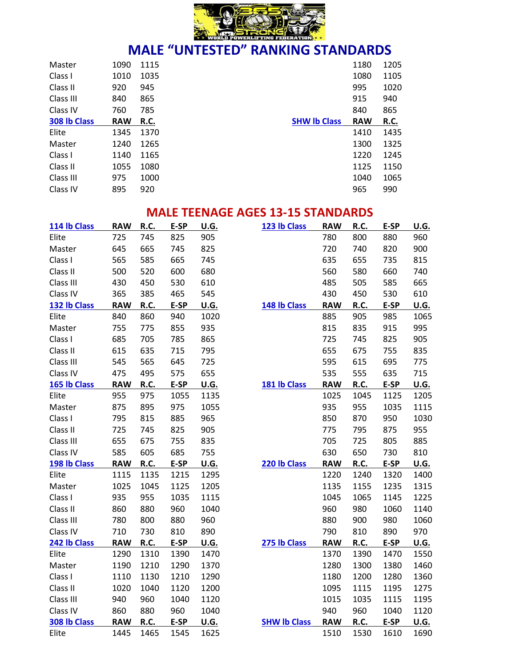

| Master       | 1090       | 1115 |                     | 1180       | 1205 |
|--------------|------------|------|---------------------|------------|------|
| Class I      | 1010       | 1035 |                     | 1080       | 1105 |
| Class II     | 920        | 945  |                     | 995        | 1020 |
| Class III    | 840        | 865  |                     | 915        | 940  |
| Class IV     | 760        | 785  |                     | 840        | 865  |
| 308 lb Class | <b>RAW</b> | R.C. | <b>SHW Ib Class</b> | <b>RAW</b> | R.C. |
| Elite        | 1345       | 1370 |                     | 1410       | 1435 |
| Master       | 1240       | 1265 |                     | 1300       | 1325 |
| Class I      | 1140       | 1165 |                     | 1220       | 1245 |
| Class II     | 1055       | 1080 |                     | 1125       | 1150 |
| Class III    | 975        | 1000 |                     | 1040       | 1065 |
| Class IV     | 895        | 920  |                     | 965        | 990  |

### **MALE TEENAGE AGES 13-15 STANDARDS**

| 114 lb Class | <b>RAW</b> | R.C. | E-SP | U.G.        | 123 lb Class        | <b>RAW</b> | R.C.        | E-SP | U.G.        |
|--------------|------------|------|------|-------------|---------------------|------------|-------------|------|-------------|
| Elite        | 725        | 745  | 825  | 905         |                     | 780        | 800         | 880  | 960         |
| Master       | 645        | 665  | 745  | 825         |                     | 720        | 740         | 820  | 900         |
| Class I      | 565        | 585  | 665  | 745         |                     | 635        | 655         | 735  | 815         |
| Class II     | 500        | 520  | 600  | 680         |                     | 560        | 580         | 660  | 740         |
| Class III    | 430        | 450  | 530  | 610         |                     | 485        | 505         | 585  | 665         |
| Class IV     | 365        | 385  | 465  | 545         |                     | 430        | 450         | 530  | 610         |
| 132 lb Class | <b>RAW</b> | R.C. | E-SP | U.G.        | 148 lb Class        | <b>RAW</b> | R.C.        | E-SP | U.G.        |
| Elite        | 840        | 860  | 940  | 1020        |                     | 885        | 905         | 985  | 1065        |
| Master       | 755        | 775  | 855  | 935         |                     | 815        | 835         | 915  | 995         |
| Class I      | 685        | 705  | 785  | 865         |                     | 725        | 745         | 825  | 905         |
| Class II     | 615        | 635  | 715  | 795         |                     | 655        | 675         | 755  | 835         |
| Class III    | 545        | 565  | 645  | 725         |                     | 595        | 615         | 695  | 775         |
| Class IV     | 475        | 495  | 575  | 655         |                     | 535        | 555         | 635  | 715         |
| 165 lb Class | <b>RAW</b> | R.C. | E-SP | <u>U.G.</u> | 181 lb Class        | <b>RAW</b> | R.C.        | E-SP | U.G.        |
| Elite        | 955        | 975  | 1055 | 1135        |                     | 1025       | 1045        | 1125 | 1205        |
| Master       | 875        | 895  | 975  | 1055        |                     | 935        | 955         | 1035 | 1115        |
| Class I      | 795        | 815  | 885  | 965         |                     | 850        | 870         | 950  | 1030        |
| Class II     | 725        | 745  | 825  | 905         |                     | 775        | 795         | 875  | 955         |
| Class III    | 655        | 675  | 755  | 835         |                     | 705        | 725         | 805  | 885         |
| Class IV     | 585        | 605  | 685  | 755         |                     | 630        | 650         | 730  | 810         |
| 198 lb Class | <b>RAW</b> | R.C. | E-SP | <b>U.G.</b> | 220 lb Class        | <b>RAW</b> | <b>R.C.</b> | E-SP | U.G.        |
| Elite        | 1115       | 1135 | 1215 | 1295        |                     | 1220       | 1240        | 1320 | 1400        |
| Master       | 1025       | 1045 | 1125 | 1205        |                     | 1135       | 1155        | 1235 | 1315        |
| Class I      | 935        | 955  | 1035 | 1115        |                     | 1045       | 1065        | 1145 | 1225        |
| Class II     | 860        | 880  | 960  | 1040        |                     | 960        | 980         | 1060 | 1140        |
| Class III    | 780        | 800  | 880  | 960         |                     | 880        | 900         | 980  | 1060        |
| Class IV     | 710        | 730  | 810  | 890         |                     | 790        | 810         | 890  | 970         |
| 242 lb Class | <b>RAW</b> | R.C. | E-SP | U.G.        | 275 lb Class        | <b>RAW</b> | R.C.        | E-SP | U.G.        |
| Elite        | 1290       | 1310 | 1390 | 1470        |                     | 1370       | 1390        | 1470 | 1550        |
| Master       | 1190       | 1210 | 1290 | 1370        |                     | 1280       | 1300        | 1380 | 1460        |
| Class I      | 1110       | 1130 | 1210 | 1290        |                     | 1180       | 1200        | 1280 | 1360        |
| Class II     | 1020       | 1040 | 1120 | 1200        |                     | 1095       | 1115        | 1195 | 1275        |
| Class III    | 940        | 960  | 1040 | 1120        |                     | 1015       | 1035        | 1115 | 1195        |
| Class IV     | 860        | 880  | 960  | 1040        |                     | 940        | 960         | 1040 | 1120        |
| 308 lb Class | <b>RAW</b> | R.C. | E-SP | <b>U.G.</b> | <b>SHW Ib Class</b> | <b>RAW</b> | <b>R.C.</b> | E-SP | <b>U.G.</b> |
| Elite        | 1445       | 1465 | 1545 | 1625        |                     | 1510       | 1530        | 1610 | 1690        |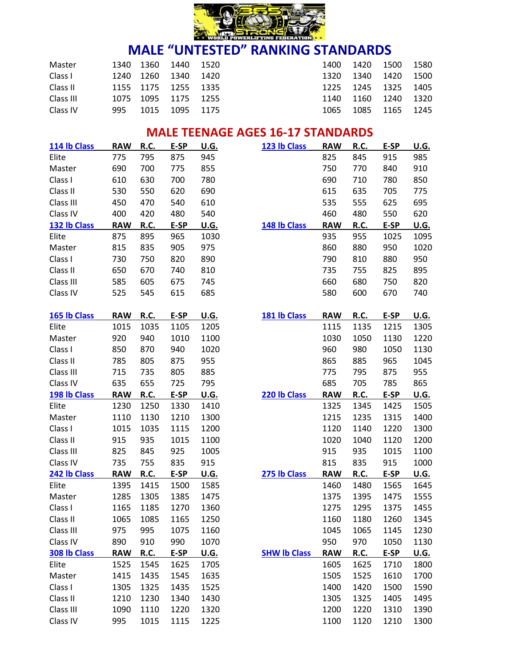

| Master    |     | 1340 1360 1440 1520 |           | 1400 1420 |                | 1500 1580 |        |
|-----------|-----|---------------------|-----------|-----------|----------------|-----------|--------|
| Class I   |     | 1240 1260 1340 1420 |           |           | 1320 1340 1420 |           | - 1500 |
| Class II  |     | 1155 1175 1255 1335 |           |           | 1225 1245 1325 |           | - 1405 |
| Class III |     | 1075 1095 1175 1255 |           |           | 1140 1160 1240 |           | - 1320 |
| Class IV  | 995 | 1015                | 1095 1175 | 1065      | 1085           | - 1165    | 1245   |

### **MALE TEENAGE AGES 16-17 STANDARDS**

| 114 lb Class | <b>RAW</b> | R.C. | E-SP | U.G.        | 123 lb Class        | <b>RAW</b> | R.C.        | E-SP | U.G.        |
|--------------|------------|------|------|-------------|---------------------|------------|-------------|------|-------------|
| Elite        | 775        | 795  | 875  | 945         |                     | 825        | 845         | 915  | 985         |
| Master       | 690        | 700  | 775  | 855         |                     | 750        | 770         | 840  | 910         |
| Class I      | 610        | 630  | 700  | 780         |                     | 690        | 710         | 780  | 850         |
| Class II     | 530        | 550  | 620  | 690         |                     | 615        | 635         | 705  | 775         |
| Class III    | 450        | 470  | 540  | 610         |                     | 535        | 555         | 625  | 695         |
| Class IV     | 400        | 420  | 480  | 540         |                     | 460        | 480         | 550  | 620         |
| 132 lb Class | <b>RAW</b> | R.C. | E-SP | <u>U.G.</u> | 148 lb Class        | <b>RAW</b> | R.C.        | E-SP | U.G.        |
| Elite        | 875        | 895  | 965  | 1030        |                     | 935        | 955         | 1025 | 1095        |
| Master       | 815        | 835  | 905  | 975         |                     | 860        | 880         | 950  | 1020        |
| Class I      | 730        | 750  | 820  | 890         |                     | 790        | 810         | 880  | 950         |
| Class II     | 650        | 670  | 740  | 810         |                     | 735        | 755         | 825  | 895         |
| Class III    | 585        | 605  | 675  | 745         |                     | 660        | 680         | 750  | 820         |
| Class IV     | 525        | 545  | 615  | 685         |                     | 580        | 600         | 670  | 740         |
|              |            |      |      |             |                     |            |             |      |             |
| 165 lb Class | <b>RAW</b> | R.C. | E-SP | <u>U.G.</u> | 181 lb Class        | <b>RAW</b> | R.C.        | E-SP | U.G.        |
| Elite        | 1015       | 1035 | 1105 | 1205        |                     | 1115       | 1135        | 1215 | 1305        |
| Master       | 920        | 940  | 1010 | 1100        |                     | 1030       | 1050        | 1130 | 1220        |
| Class I      | 850        | 870  | 940  | 1020        |                     | 960        | 980         | 1050 | 1130        |
| Class II     | 785        | 805  | 875  | 955         |                     | 865        | 885         | 965  | 1045        |
| Class III    | 715        | 735  | 805  | 885         |                     | 775        | 795         | 875  | 955         |
| Class IV     | 635        | 655  | 725  | 795         |                     | 685        | 705         | 785  | 865         |
| 198 lb Class | <b>RAW</b> | R.C. | E-SP | U.G.        | 220 lb Class        | <b>RAW</b> | R.C.        | E-SP | U.G.        |
| Elite        | 1230       | 1250 | 1330 | 1410        |                     | 1325       | 1345        | 1425 | 1505        |
| Master       | 1110       | 1130 | 1210 | 1300        |                     | 1215       | 1235        | 1315 | 1400        |
| Class I      | 1015       | 1035 | 1115 | 1200        |                     | 1120       | 1140        | 1220 | 1300        |
| Class II     | 915        | 935  | 1015 | 1100        |                     | 1020       | 1040        | 1120 | 1200        |
| Class III    | 825        | 845  | 925  | 1005        |                     | 915        | 935         | 1015 | 1100        |
| Class IV     | 735        | 755  | 835  | 915         |                     | 815        | 835         | 915  | 1000        |
| 242 lb Class | <b>RAW</b> | R.C. | E-SP | U.G.        | 275 lb Class        | <b>RAW</b> | R.C.        | E-SP | <u>U.G.</u> |
| Elite        | 1395       | 1415 | 1500 | 1585        |                     | 1460       | 1480        | 1565 | 1645        |
| Master       | 1285       | 1305 | 1385 | 1475        |                     | 1375       | 1395        | 1475 | 1555        |
| Class I      | 1165       | 1185 | 1270 | 1360        |                     | 1275       | 1295        | 1375 | 1455        |
| Class II     | 1065       | 1085 | 1165 | 1250        |                     | 1160       | 1180        | 1260 | 1345        |
| Class III    | 975        | 995  | 1075 | 1160        |                     | 1045       | 1065        | 1145 | 1230        |
| Class IV     | 890        | 910  | 990  | 1070        |                     | 950        | 970         | 1050 | 1130        |
| 308 lb Class | <b>RAW</b> | R.C. | E-SP | <u>U.G.</u> | <b>SHW Ib Class</b> | <b>RAW</b> | <b>R.C.</b> | E-SP | U.G.        |
| Elite        | 1525       | 1545 | 1625 | 1705        |                     | 1605       | 1625        | 1710 | 1800        |
| Master       | 1415       | 1435 | 1545 | 1635        |                     | 1505       | 1525        | 1610 | 1700        |
| Class I      | 1305       | 1325 | 1435 | 1525        |                     | 1400       | 1420        | 1500 | 1590        |
| Class II     | 1210       | 1230 | 1340 | 1430        |                     | 1305       | 1325        | 1405 | 1495        |
| Class III    | 1090       | 1110 | 1220 | 1320        |                     | 1200       | 1220        | 1310 | 1390        |
| Class IV     | 995        | 1015 | 1115 | 1225        |                     | 1100       | 1120        | 1210 | 1300        |